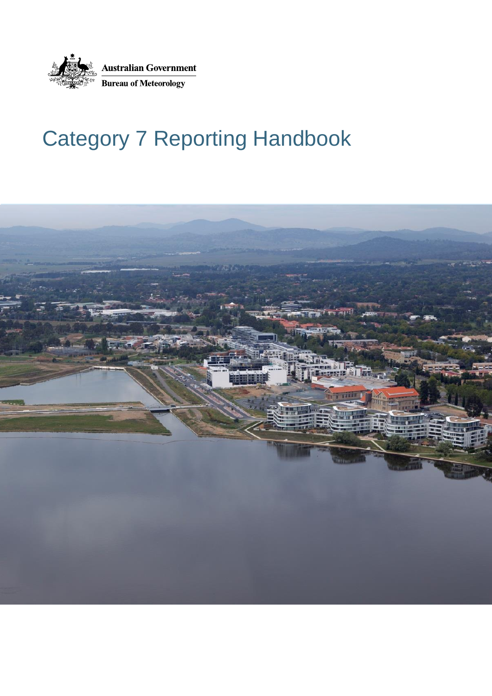

# Category 7 Reporting Handbook

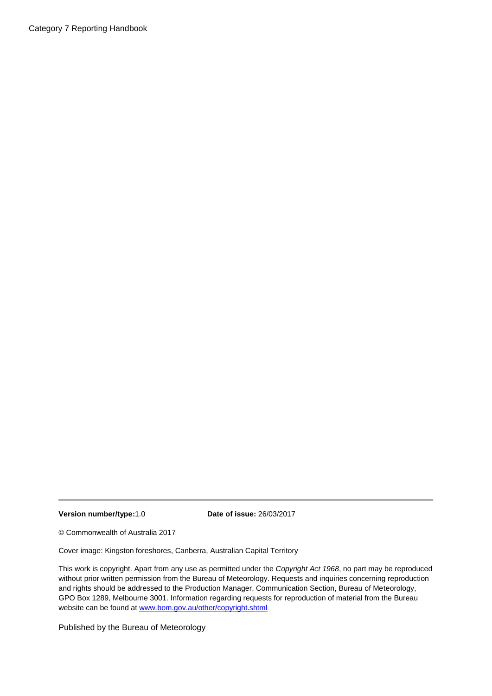Category 7 Reporting Handbook

**Version number/type:**1.0 **Date of issue:** 26/03/2017

© Commonwealth of Australia 2017

Cover image: Kingston foreshores, Canberra, Australian Capital Territory

This work is copyright. Apart from any use as permitted under the *Copyright Act 1968*, no part may be reproduced without prior written permission from the Bureau of Meteorology. Requests and inquiries concerning reproduction and rights should be addressed to the Production Manager, Communication Section, Bureau of Meteorology, GPO Box 1289, Melbourne 3001. Information regarding requests for reproduction of material from the Bureau website can be found at [www.bom.gov.au/other/copyright.shtml](http://www.bom.gov.au/other/copyright.shtml)

Published by the Bureau of Meteorology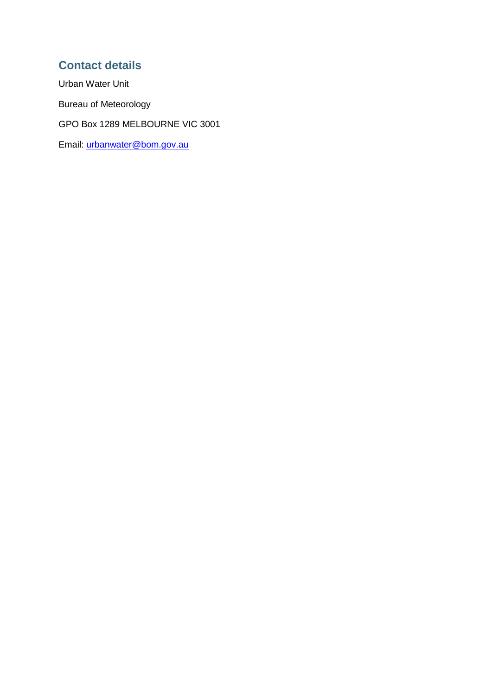### **Contact details**

Urban Water Unit Bureau of Meteorology GPO Box 1289 MELBOURNE VIC 3001 Email: [urbanwater@bom.gov.au](mailto:urbanwater@bom.gov.au)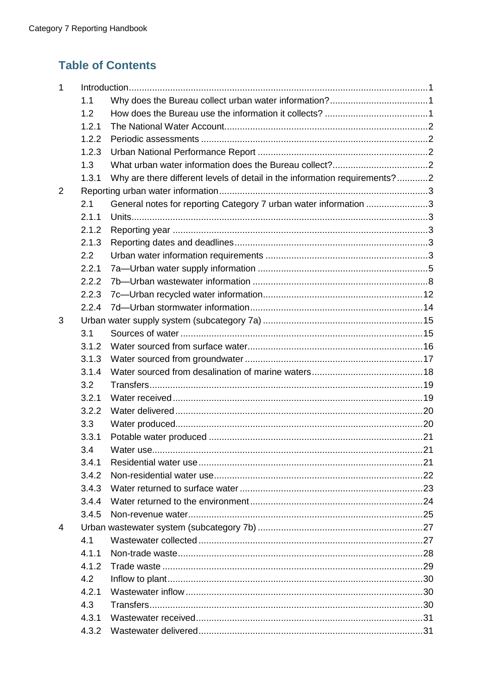## **Table of Contents**

| 1 |       |                                                                            |  |
|---|-------|----------------------------------------------------------------------------|--|
|   | 1.1   |                                                                            |  |
|   | 1.2   |                                                                            |  |
|   | 1.2.1 |                                                                            |  |
|   | 1.2.2 |                                                                            |  |
|   | 1.2.3 |                                                                            |  |
|   | 1.3   |                                                                            |  |
|   | 1.3.1 | Why are there different levels of detail in the information requirements?2 |  |
| 2 |       |                                                                            |  |
|   | 2.1   | General notes for reporting Category 7 urban water information 3           |  |
|   | 2.1.1 |                                                                            |  |
|   | 2.1.2 |                                                                            |  |
|   | 2.1.3 |                                                                            |  |
|   | 2.2   |                                                                            |  |
|   | 2.2.1 |                                                                            |  |
|   | 2.2.2 |                                                                            |  |
|   | 2.2.3 |                                                                            |  |
|   | 2.2.4 |                                                                            |  |
| 3 |       |                                                                            |  |
|   | 3.1   |                                                                            |  |
|   | 3.1.2 |                                                                            |  |
|   | 3.1.3 |                                                                            |  |
|   | 3.1.4 |                                                                            |  |
|   | 3.2   |                                                                            |  |
|   | 3.2.1 |                                                                            |  |
|   | 3.2.2 |                                                                            |  |
|   | 3.3   |                                                                            |  |
|   | 3.3.1 |                                                                            |  |
|   | 3.4   |                                                                            |  |
|   | 3.4.1 |                                                                            |  |
|   | 3.4.2 |                                                                            |  |
|   | 3.4.3 |                                                                            |  |
|   | 3.4.4 |                                                                            |  |
|   | 3.4.5 |                                                                            |  |
| 4 |       |                                                                            |  |
|   | 4.1   |                                                                            |  |
|   | 4.1.1 |                                                                            |  |
|   | 4.1.2 |                                                                            |  |
|   | 4.2   |                                                                            |  |
|   | 4.2.1 |                                                                            |  |
|   | 4.3   |                                                                            |  |
|   | 4.3.1 |                                                                            |  |
|   | 4.3.2 |                                                                            |  |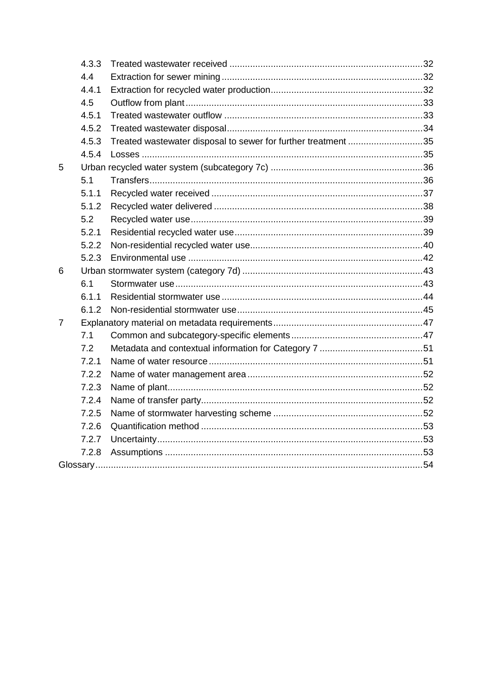|   | 4.3.3 |                                                               |  |
|---|-------|---------------------------------------------------------------|--|
|   | 4.4   |                                                               |  |
|   | 4.4.1 |                                                               |  |
|   | 4.5   |                                                               |  |
|   | 4.5.1 |                                                               |  |
|   | 4.5.2 |                                                               |  |
|   | 4.5.3 | Treated wastewater disposal to sewer for further treatment 35 |  |
|   | 4.5.4 |                                                               |  |
| 5 |       |                                                               |  |
|   | 5.1   |                                                               |  |
|   | 5.1.1 |                                                               |  |
|   | 5.1.2 |                                                               |  |
|   | 5.2   |                                                               |  |
|   | 5.2.1 |                                                               |  |
|   | 5.2.2 |                                                               |  |
|   | 5.2.3 |                                                               |  |
| 6 |       |                                                               |  |
|   | 6.1   |                                                               |  |
|   | 6.1.1 |                                                               |  |
|   | 6.1.2 |                                                               |  |
| 7 |       |                                                               |  |
|   | 7.1   |                                                               |  |
|   | 7.2   |                                                               |  |
|   | 7.2.1 |                                                               |  |
|   | 7.2.2 |                                                               |  |
|   | 7.2.3 |                                                               |  |
|   | 7.2.4 |                                                               |  |
|   | 7.2.5 |                                                               |  |
|   | 7.2.6 |                                                               |  |
|   | 7.2.7 |                                                               |  |
|   | 7.2.8 |                                                               |  |
|   |       |                                                               |  |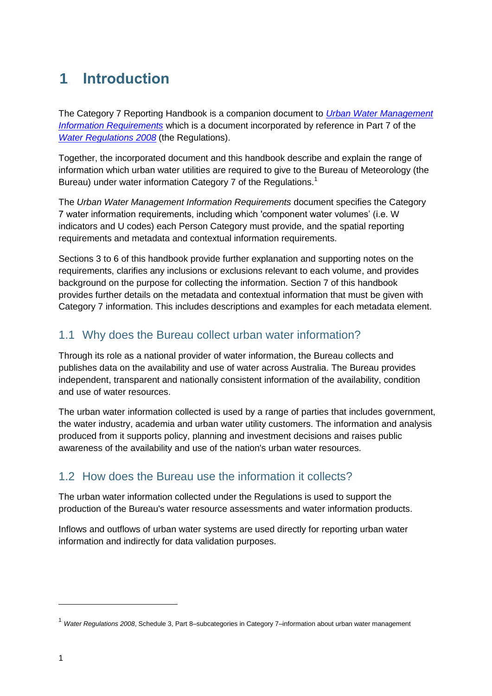# <span id="page-5-0"></span>**1 Introduction**

The Category 7 Reporting Handbook is a companion document to *[Urban Water Management](http://www.bom.gov.au/water/regulations/schedules/urbanWater.shtml)  [Information Requirements](http://www.bom.gov.au/water/regulations/schedules/urbanWater.shtml)* which is a document incorporated by reference in Part 7 of the *[Water Regulations 2008](http://www.bom.gov.au/water/regulations/index.shtml)* (the Regulations).

Together, the incorporated document and this handbook describe and explain the range of information which urban water utilities are required to give to the Bureau of Meteorology (the Bureau) under water information Category 7 of the Regulations.<sup>1</sup>

The *Urban Water Management Information Requirements* document specifies the Category 7 water information requirements, including which 'component water volumes' (i.e. W indicators and U codes) each Person Category must provide, and the spatial reporting requirements and metadata and contextual information requirements.

Sections 3 to 6 of this handbook provide further explanation and supporting notes on the requirements, clarifies any inclusions or exclusions relevant to each volume, and provides background on the purpose for collecting the information. Section 7 of this handbook provides further details on the metadata and contextual information that must be given with Category 7 information. This includes descriptions and examples for each metadata element.

### <span id="page-5-1"></span>1.1 Why does the Bureau collect urban water information?

Through its role as a national provider of water information, the Bureau collects and publishes data on the availability and use of water across Australia. The Bureau provides independent, transparent and nationally consistent information of the availability, condition and use of water resources.

The urban water information collected is used by a range of parties that includes government, the water industry, academia and urban water utility customers. The information and analysis produced from it supports policy, planning and investment decisions and raises public awareness of the availability and use of the nation's urban water resources.

### <span id="page-5-2"></span>1.2 How does the Bureau use the information it collects?

The urban water information collected under the Regulations is used to support the production of the Bureau's water resource assessments and water information products.

Inflows and outflows of urban water systems are used directly for reporting urban water information and indirectly for data validation purposes.

<sup>1</sup> *Water Regulations 2008*, Schedule 3, Part 8–subcategories in Category 7–information about urban water management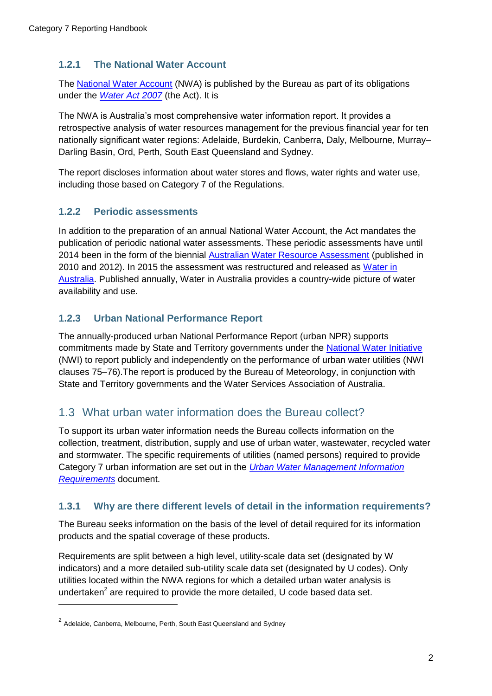### <span id="page-6-0"></span>**1.2.1 The National Water Account**

The [National Water Account](http://www.bom.gov.au/water/nwa/about.shtml) (NWA) is published by the Bureau as part of its obligations under the *[Water Act 2007](http://www.bom.gov.au/water/regulations/waterAct2007AuxNav.shtml)* (the Act). It is

The NWA is Australia's most comprehensive water information report. It provides a retrospective analysis of water resources management for the previous financial year for ten nationally significant water regions: Adelaide, Burdekin, Canberra, Daly, Melbourne, Murray– Darling Basin, Ord, Perth, South East Queensland and Sydney.

The report discloses information about water stores and flows, water rights and water use, including those based on Category 7 of the Regulations.

### <span id="page-6-1"></span>**1.2.2 Periodic assessments**

In addition to the preparation of an annual National Water Account, the Act mandates the publication of periodic national water assessments. These periodic assessments have until 2014 been in the form of the biennial [Australian Water Resource Assessment](http://www.bom.gov.au/water/awra/) (published in 2010 and 2012). In 2015 the assessment was restructured and released as [Water in](http://www.bom.gov.au/water/waterinaustralia/)  [Australia.](http://www.bom.gov.au/water/waterinaustralia/) Published annually, Water in Australia provides a country-wide picture of water availability and use.

### <span id="page-6-2"></span>**1.2.3 Urban National Performance Report**

The annually-produced urban National Performance Report (urban NPR) supports commitments made by State and Territory governments under the [National Water Initiative](http://www.agriculture.gov.au/water/policy/nwi) (NWI) to report publicly and independently on the performance of urban water utilities (NWI clauses 75–76).The report is produced by the Bureau of Meteorology, in conjunction with State and Territory governments and the Water Services Association of Australia.

### <span id="page-6-3"></span>1.3 What urban water information does the Bureau collect?

To support its urban water information needs the Bureau collects information on the collection, treatment, distribution, supply and use of urban water, wastewater, recycled water and stormwater. The specific requirements of utilities (named persons) required to provide Category 7 urban information are set out in the *[Urban Water Management Information](http://www.bom.gov.au/water/regulations/schedules/urbanWater.shtml)  [Requirements](http://www.bom.gov.au/water/regulations/schedules/urbanWater.shtml)* document.

#### <span id="page-6-4"></span>**1.3.1 Why are there different levels of detail in the information requirements?**

The Bureau seeks information on the basis of the level of detail required for its information products and the spatial coverage of these products.

Requirements are split between a high level, utility-scale data set (designated by W indicators) and a more detailed sub-utility scale data set (designated by U codes). Only utilities located within the NWA regions for which a detailed urban water analysis is undertaken<sup>2</sup> are required to provide the more detailed, U code based data set.

<sup>&</sup>lt;sup>2</sup> Adelaide, Canberra, Melbourne, Perth, South East Queensland and Sydney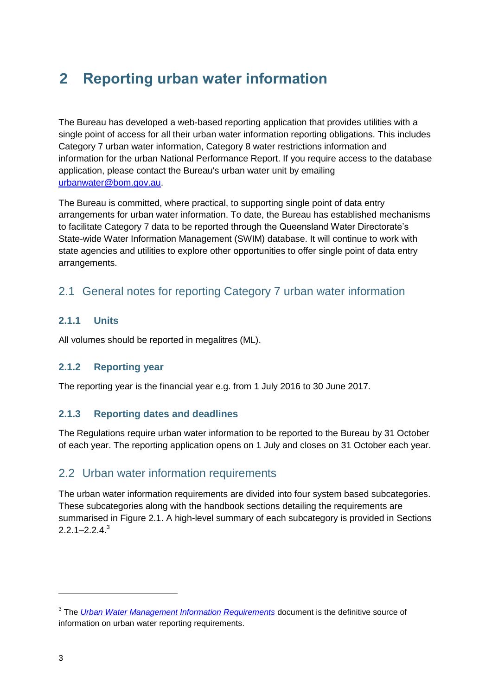# <span id="page-7-0"></span>**2 Reporting urban water information**

The Bureau has developed a web-based reporting application that provides utilities with a single point of access for all their urban water information reporting obligations. This includes Category 7 urban water information, Category 8 water restrictions information and information for the urban National Performance Report. If you require access to the database application, please contact the Bureau's urban water unit by emailing [urbanwater@bom.gov.au.](mailto:urbanwater@bom.gov.au?subject=RE:%20Water%20Regulations%202008–Category%207%20urban%20water%20information%20enquiry)

The Bureau is committed, where practical, to supporting single point of data entry arrangements for urban water information. To date, the Bureau has established mechanisms to facilitate Category 7 data to be reported through the Queensland Water Directorate's State-wide Water Information Management (SWIM) database. It will continue to work with state agencies and utilities to explore other opportunities to offer single point of data entry arrangements.

### <span id="page-7-1"></span>2.1 General notes for reporting Category 7 urban water information

### <span id="page-7-2"></span>**2.1.1 Units**

All volumes should be reported in megalitres (ML).

### <span id="page-7-3"></span>**2.1.2 Reporting year**

The reporting year is the financial year e.g. from 1 July 2016 to 30 June 2017.

### <span id="page-7-4"></span>**2.1.3 Reporting dates and deadlines**

The Regulations require urban water information to be reported to the Bureau by 31 October of each year. The reporting application opens on 1 July and closes on 31 October each year.

### <span id="page-7-5"></span>2.2 Urban water information requirements

The urban water information requirements are divided into four system based subcategories. These subcategories along with the handbook sections detailing the requirements are summarised in Figure 2.1. A high-level summary of each subcategory is provided in Sections  $2.2.1 - 2.2.4$ <sup>3</sup>

<sup>3</sup> The *[Urban Water Management Information Requirements](http://www.bom.gov.au/water/regulations/schedules/urbanWater.shtml)* document is the definitive source of information on urban water reporting requirements.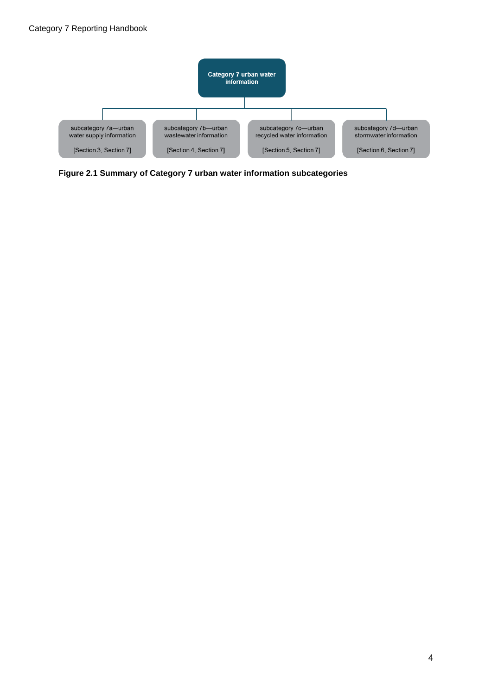

**Figure 2.1 Summary of Category 7 urban water information subcategories**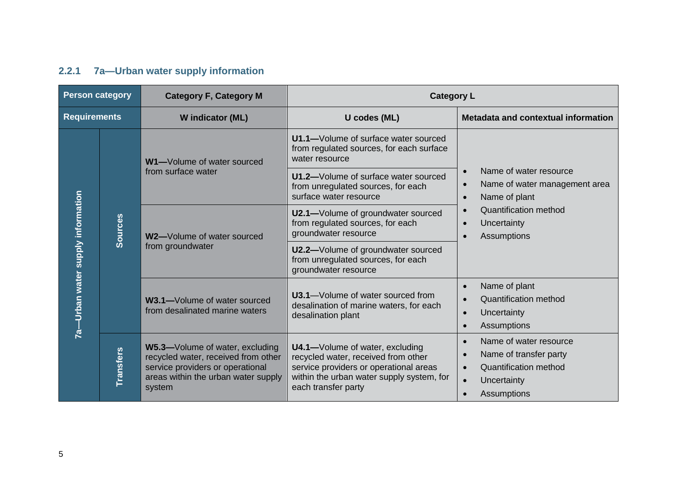### **2.2.1 7a—Urban water supply information**

<span id="page-9-0"></span>

| <b>Person category</b>            |                  | <b>Category F, Category M</b>                                                                                                                               | <b>Category L</b>                                                                                                                                                                    |                                                                                                                                                                                                               |
|-----------------------------------|------------------|-------------------------------------------------------------------------------------------------------------------------------------------------------------|--------------------------------------------------------------------------------------------------------------------------------------------------------------------------------------|---------------------------------------------------------------------------------------------------------------------------------------------------------------------------------------------------------------|
| <b>Requirements</b>               |                  | W indicator (ML)                                                                                                                                            | U codes (ML)                                                                                                                                                                         | Metadata and contextual information                                                                                                                                                                           |
|                                   |                  | W1-Volume of water sourced<br>from surface water                                                                                                            | U1.1-Volume of surface water sourced<br>from regulated sources, for each surface<br>water resource                                                                                   |                                                                                                                                                                                                               |
|                                   |                  |                                                                                                                                                             | U1.2-Volume of surface water sourced<br>from unregulated sources, for each<br>surface water resource                                                                                 | Name of water resource<br>$\bullet$<br>Name of water management area<br>$\bullet$<br>Name of plant<br>$\bullet$<br>Quantification method<br>$\bullet$<br>Uncertainty<br>$\bullet$<br>Assumptions<br>$\bullet$ |
|                                   | <b>Sources</b>   | W2-Volume of water sourced<br>from groundwater                                                                                                              | U2.1-Volume of groundwater sourced<br>from regulated sources, for each<br>groundwater resource                                                                                       |                                                                                                                                                                                                               |
| 7a-Urban water supply information |                  |                                                                                                                                                             | U2.2-Volume of groundwater sourced<br>from unregulated sources, for each<br>groundwater resource                                                                                     |                                                                                                                                                                                                               |
|                                   |                  | W3.1-Volume of water sourced<br>from desalinated marine waters                                                                                              | <b>U3.1</b> —Volume of water sourced from<br>desalination of marine waters, for each<br>desalination plant                                                                           | Name of plant<br>$\bullet$<br><b>Quantification method</b><br>$\bullet$<br>Uncertainty<br>$\bullet$<br>Assumptions<br>$\bullet$                                                                               |
|                                   | <b>Transfers</b> | W5.3-Volume of water, excluding<br>recycled water, received from other<br>service providers or operational<br>areas within the urban water supply<br>system | U4.1-Volume of water, excluding<br>recycled water, received from other<br>service providers or operational areas<br>within the urban water supply system, for<br>each transfer party | Name of water resource<br>$\bullet$<br>Name of transfer party<br>$\bullet$<br><b>Quantification method</b><br>$\bullet$<br>Uncertainty<br>$\bullet$<br>Assumptions<br>$\bullet$                               |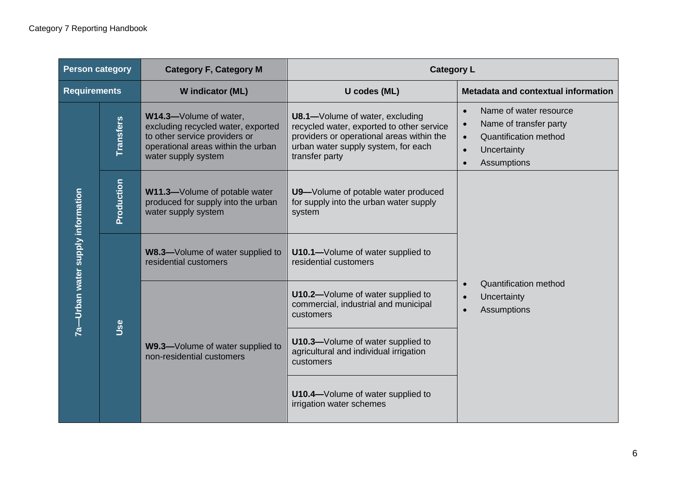| <b>Person category</b>            |                  | <b>Category F, Category M</b>                                                                                                                              | <b>Category L</b>                                                                                                                                                                  |                                                                                                                                                                                        |
|-----------------------------------|------------------|------------------------------------------------------------------------------------------------------------------------------------------------------------|------------------------------------------------------------------------------------------------------------------------------------------------------------------------------------|----------------------------------------------------------------------------------------------------------------------------------------------------------------------------------------|
| <b>Requirements</b>               |                  | W indicator (ML)                                                                                                                                           | U codes (ML)                                                                                                                                                                       | Metadata and contextual information                                                                                                                                                    |
|                                   | <b>Transfers</b> | W14.3-Volume of water,<br>excluding recycled water, exported<br>to other service providers or<br>operational areas within the urban<br>water supply system | U8.1-Volume of water, excluding<br>recycled water, exported to other service<br>providers or operational areas within the<br>urban water supply system, for each<br>transfer party | Name of water resource<br>$\bullet$<br>Name of transfer party<br>$\bullet$<br><b>Quantification method</b><br>$\bullet$<br>Uncertainty<br>$\bullet$<br><b>Assumptions</b><br>$\bullet$ |
|                                   | Production       | W11.3-Volume of potable water<br>produced for supply into the urban<br>water supply system                                                                 | U9-Volume of potable water produced<br>for supply into the urban water supply<br>system                                                                                            |                                                                                                                                                                                        |
| 7a—Urban water supply information | Use              | W8.3-Volume of water supplied to<br>residential customers                                                                                                  | U10.1-Volume of water supplied to<br>residential customers                                                                                                                         |                                                                                                                                                                                        |
|                                   |                  |                                                                                                                                                            | U10.2-Volume of water supplied to<br>commercial, industrial and municipal<br>customers                                                                                             | <b>Quantification method</b><br>Uncertainty<br><b>Assumptions</b>                                                                                                                      |
|                                   |                  | W9.3-Volume of water supplied to<br>non-residential customers                                                                                              | U10.3-Volume of water supplied to<br>agricultural and individual irrigation<br>customers                                                                                           |                                                                                                                                                                                        |
|                                   |                  |                                                                                                                                                            | U10.4-Volume of water supplied to<br>irrigation water schemes                                                                                                                      |                                                                                                                                                                                        |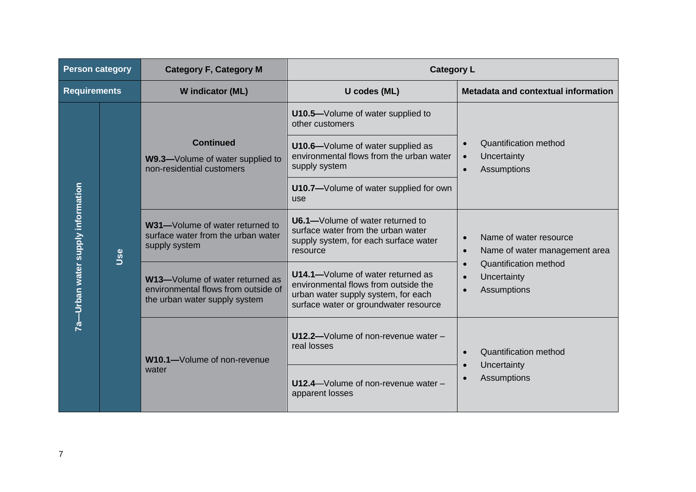| <b>Person category</b>          |     | <b>Category F, Category M</b>                                                                           | <b>Category L</b>                                                                                                                                         |                                                                                            |
|---------------------------------|-----|---------------------------------------------------------------------------------------------------------|-----------------------------------------------------------------------------------------------------------------------------------------------------------|--------------------------------------------------------------------------------------------|
| <b>Requirements</b>             |     | W indicator (ML)                                                                                        | U codes (ML)                                                                                                                                              | Metadata and contextual information                                                        |
| -Urban water supply information |     | <b>Continued</b><br>W9.3-Volume of water supplied to<br>non-residential customers                       | U10.5-Volume of water supplied to<br>other customers                                                                                                      |                                                                                            |
|                                 | Use |                                                                                                         | U10.6-Volume of water supplied as<br>environmental flows from the urban water<br>supply system                                                            | Quantification method<br>$\bullet$<br>Uncertainty<br>$\bullet$<br>Assumptions<br>$\bullet$ |
|                                 |     |                                                                                                         | U10.7-Volume of water supplied for own<br>use                                                                                                             |                                                                                            |
|                                 |     | W31-Volume of water returned to<br>surface water from the urban water<br>supply system                  | U6.1-Volume of water returned to<br>surface water from the urban water<br>supply system, for each surface water<br>resource                               | Name of water resource<br>$\bullet$<br>Name of water management area<br>$\bullet$          |
|                                 |     | W13-Volume of water returned as<br>environmental flows from outside of<br>the urban water supply system | U14.1-Volume of water returned as<br>environmental flows from outside the<br>urban water supply system, for each<br>surface water or groundwater resource | Quantification method<br>$\bullet$<br>Uncertainty<br>Assumptions                           |
| <u>ನ</u>                        |     | W10.1-Volume of non-revenue                                                                             | U12.2-Volume of non-revenue water -<br>real losses                                                                                                        | <b>Quantification method</b><br>Uncertainty<br>$\bullet$                                   |
|                                 |     | water                                                                                                   | U12.4-Volume of non-revenue water -<br>apparent losses                                                                                                    | Assumptions                                                                                |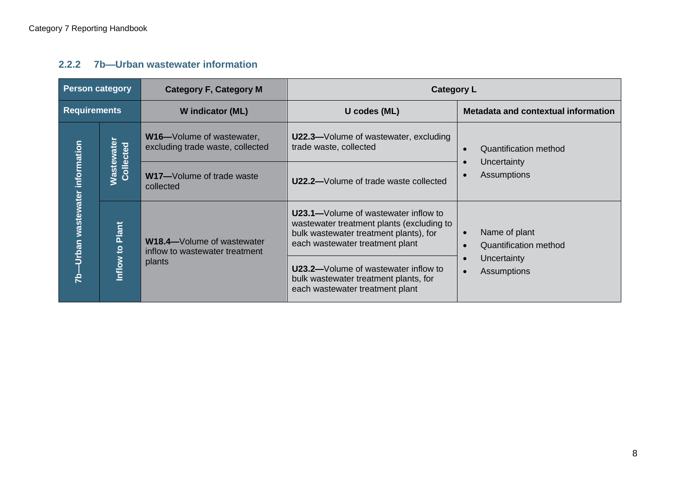### **2.2.2 7b—Urban wastewater information**

<span id="page-12-0"></span>

| <b>Person category</b>                    |                                | <b>Category F, Category M</b>                                         | <b>Category L</b>                                                                                                                                                      |                                                            |
|-------------------------------------------|--------------------------------|-----------------------------------------------------------------------|------------------------------------------------------------------------------------------------------------------------------------------------------------------------|------------------------------------------------------------|
| <b>Requirements</b>                       |                                | W indicator (ML)                                                      | U codes (ML)                                                                                                                                                           | Metadata and contextual information                        |
|                                           |                                | <b>W16-</b> Volume of wastewater,<br>excluding trade waste, collected | <b>U22.3–Volume of wastewater, excluding</b><br>trade waste, collected                                                                                                 | Quantification method<br>$\bullet$                         |
|                                           | <b>Wastewater</b><br>Collected | W17-Volume of trade waste<br>collected                                | U22.2-Volume of trade waste collected                                                                                                                                  | Uncertainty<br>Assumptions                                 |
| Urban wastewater information<br><u>مح</u> | Plant<br>$\overline{6}$        | W18.4-Volume of wastewater<br>inflow to wastewater treatment          | <b>U23.1—</b> Volume of wastewater inflow to<br>wastewater treatment plants (excluding to<br>bulk wastewater treatment plants), for<br>each wastewater treatment plant | Name of plant<br>$\bullet$<br><b>Quantification method</b> |
|                                           | Inflow                         | plants                                                                | <b>U23.2–Volume of wastewater inflow to</b><br>bulk wastewater treatment plants, for<br>each wastewater treatment plant                                                | Uncertainty<br>Assumptions<br>$\bullet$                    |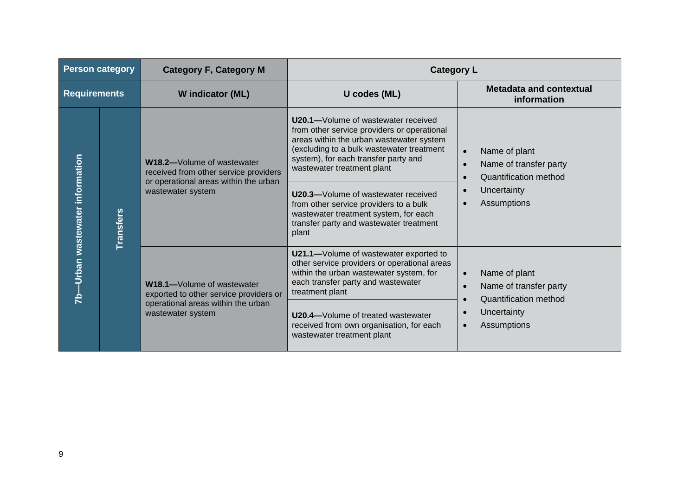| <b>Person category</b>             |                  | <b>Category F, Category M</b>                                                                                                     | <b>Category L</b>                                                                                                                                                                                                                                                                                                                                                                                                      |                                                                                                                                 |
|------------------------------------|------------------|-----------------------------------------------------------------------------------------------------------------------------------|------------------------------------------------------------------------------------------------------------------------------------------------------------------------------------------------------------------------------------------------------------------------------------------------------------------------------------------------------------------------------------------------------------------------|---------------------------------------------------------------------------------------------------------------------------------|
| <b>Requirements</b>                |                  | W indicator (ML)                                                                                                                  | U codes (ML)                                                                                                                                                                                                                                                                                                                                                                                                           | <b>Metadata and contextual</b><br>information                                                                                   |
| -Urban wastewater information<br>Ŕ | <b>Transfers</b> | W18.2-Volume of wastewater<br>received from other service providers<br>or operational areas within the urban<br>wastewater system | U20.1-Volume of wastewater received<br>from other service providers or operational<br>areas within the urban wastewater system<br>(excluding to a bulk wastewater treatment<br>system), for each transfer party and<br>wastewater treatment plant<br>U20.3-Volume of wastewater received<br>from other service providers to a bulk<br>wastewater treatment system, for each<br>transfer party and wastewater treatment | Name of plant<br>Name of transfer party<br><b>Quantification method</b><br>Uncertainty<br>Assumptions                           |
|                                    |                  | W18.1-Volume of wastewater<br>exported to other service providers or<br>operational areas within the urban<br>wastewater system   | plant<br>U21.1-Volume of wastewater exported to<br>other service providers or operational areas<br>within the urban wastewater system, for<br>each transfer party and wastewater<br>treatment plant<br>U20.4-Volume of treated wastewater<br>received from own organisation, for each<br>wastewater treatment plant                                                                                                    | Name of plant<br>$\bullet$<br>Name of transfer party<br>$\bullet$<br><b>Quantification method</b><br>Uncertainty<br>Assumptions |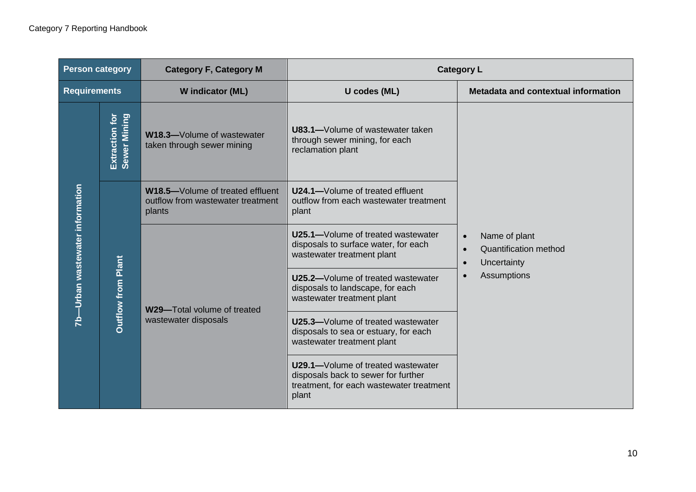| <b>Person category</b>             |                                | <b>Category F, Category M</b>                                                   | <b>Category L</b>                                                                                                              |                                                                                                       |
|------------------------------------|--------------------------------|---------------------------------------------------------------------------------|--------------------------------------------------------------------------------------------------------------------------------|-------------------------------------------------------------------------------------------------------|
| <b>Requirements</b>                |                                | W indicator (ML)                                                                | U codes (ML)                                                                                                                   | Metadata and contextual information                                                                   |
|                                    | Extraction for<br>Sewer Mining | W18.3-Volume of wastewater<br>taken through sewer mining                        | <b>U83.1-</b> Volume of wastewater taken<br>through sewer mining, for each<br>reclamation plant                                |                                                                                                       |
|                                    | <b>Outflow from Plant</b>      | W18.5-Volume of treated effluent<br>outflow from wastewater treatment<br>plants | U24.1-Volume of treated effluent<br>outflow from each wastewater treatment<br>plant                                            |                                                                                                       |
| -Urban wastewater information<br>Ŕ |                                | W29-Total volume of treated<br>wastewater disposals                             | U25.1-Volume of treated wastewater<br>disposals to surface water, for each<br>wastewater treatment plant                       | Name of plant<br><b>Quantification method</b><br>$\bullet$<br>Uncertainty<br>$\bullet$<br>Assumptions |
|                                    |                                |                                                                                 | U25.2-Volume of treated wastewater<br>disposals to landscape, for each<br>wastewater treatment plant                           |                                                                                                       |
|                                    |                                |                                                                                 | U25.3-Volume of treated wastewater<br>disposals to sea or estuary, for each<br>wastewater treatment plant                      |                                                                                                       |
|                                    |                                |                                                                                 | U29.1-Volume of treated wastewater<br>disposals back to sewer for further<br>treatment, for each wastewater treatment<br>plant |                                                                                                       |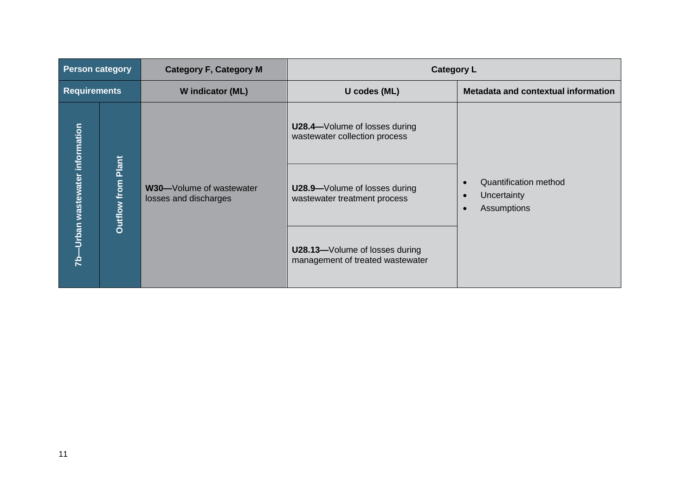| <b>Person category</b>       |                              | <b>Category F, Category M</b>                     | <b>Category L</b>                                                      |                                                     |
|------------------------------|------------------------------|---------------------------------------------------|------------------------------------------------------------------------|-----------------------------------------------------|
| <b>Requirements</b>          |                              | W indicator (ML)                                  | U codes (ML)                                                           | Metadata and contextual information                 |
|                              |                              |                                                   | <b>U28.4-</b> Volume of losses during<br>wastewater collection process |                                                     |
| Urban wastewater information | from Plant<br><b>Outflow</b> | W30-Volume of wastewater<br>losses and discharges | U28.9-Volume of losses during<br>wastewater treatment process          | Quantification method<br>Uncertainty<br>Assumptions |
| 은                            |                              |                                                   | U28.13-Volume of losses during<br>management of treated wastewater     |                                                     |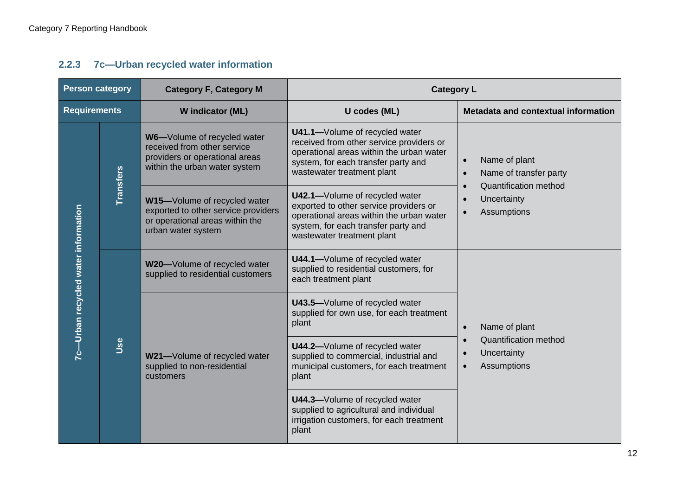### **2.2.3 7c—Urban recycled water information**

<span id="page-16-0"></span>

| <b>Person category</b>              |                  | <b>Category F, Category M</b>                                                                                                 | <b>Category L</b>                                                                                                                                                                           |                                                                                                                                                           |
|-------------------------------------|------------------|-------------------------------------------------------------------------------------------------------------------------------|---------------------------------------------------------------------------------------------------------------------------------------------------------------------------------------------|-----------------------------------------------------------------------------------------------------------------------------------------------------------|
| <b>Requirements</b>                 |                  | W indicator (ML)                                                                                                              | U codes (ML)                                                                                                                                                                                | Metadata and contextual information                                                                                                                       |
|                                     | <b>Transfers</b> | W6-Volume of recycled water<br>received from other service<br>providers or operational areas<br>within the urban water system | U41.1-Volume of recycled water<br>received from other service providers or<br>operational areas within the urban water<br>system, for each transfer party and<br>wastewater treatment plant | Name of plant<br>$\bullet$<br>Name of transfer party<br>$\bullet$<br><b>Quantification method</b><br>$\bullet$<br>Uncertainty<br>Assumptions<br>$\bullet$ |
|                                     |                  | W15-Volume of recycled water<br>exported to other service providers<br>or operational areas within the<br>urban water system  | U42.1-Volume of recycled water<br>exported to other service providers or<br>operational areas within the urban water<br>system, for each transfer party and<br>wastewater treatment plant   |                                                                                                                                                           |
| 7c-Urban recycled water information | Use              | W20-Volume of recycled water<br>supplied to residential customers                                                             | U44.1-Volume of recycled water<br>supplied to residential customers, for<br>each treatment plant                                                                                            |                                                                                                                                                           |
|                                     |                  |                                                                                                                               | U43.5-Volume of recycled water<br>supplied for own use, for each treatment<br>plant                                                                                                         | Name of plant<br>$\bullet$                                                                                                                                |
|                                     |                  | W21-Volume of recycled water<br>supplied to non-residential<br>customers                                                      | U44.2-Volume of recycled water<br>supplied to commercial, industrial and<br>municipal customers, for each treatment<br>plant                                                                | <b>Quantification method</b><br>$\bullet$<br>Uncertainty<br>Assumptions<br>$\bullet$                                                                      |
|                                     |                  |                                                                                                                               | U44.3-Volume of recycled water<br>supplied to agricultural and individual<br>irrigation customers, for each treatment<br>plant                                                              |                                                                                                                                                           |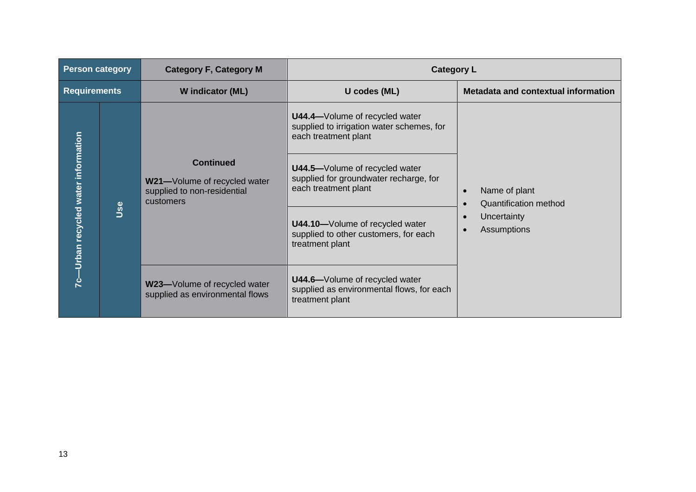| <b>Person category</b>            |  | <b>Category F, Category M</b>                                                                | <b>Category L</b>                                                                                   |                                                            |  |
|-----------------------------------|--|----------------------------------------------------------------------------------------------|-----------------------------------------------------------------------------------------------------|------------------------------------------------------------|--|
| <b>Requirements</b>               |  | W indicator (ML)                                                                             | U codes (ML)                                                                                        | Metadata and contextual information                        |  |
|                                   |  |                                                                                              | U44.4-Volume of recycled water<br>supplied to irrigation water schemes, for<br>each treatment plant |                                                            |  |
|                                   |  | <b>Continued</b><br>W21-Volume of recycled water<br>supplied to non-residential<br>customers | U44.5-Volume of recycled water<br>supplied for groundwater recharge, for<br>each treatment plant    | Name of plant<br>$\bullet$<br><b>Quantification method</b> |  |
| -Urban recycled water information |  | Jse                                                                                          | U44.10-Volume of recycled water<br>supplied to other customers, for each<br>treatment plant         | Uncertainty<br>Assumptions                                 |  |
|                                   |  | W23-Volume of recycled water<br>supplied as environmental flows                              | U44.6-Volume of recycled water<br>supplied as environmental flows, for each<br>treatment plant      |                                                            |  |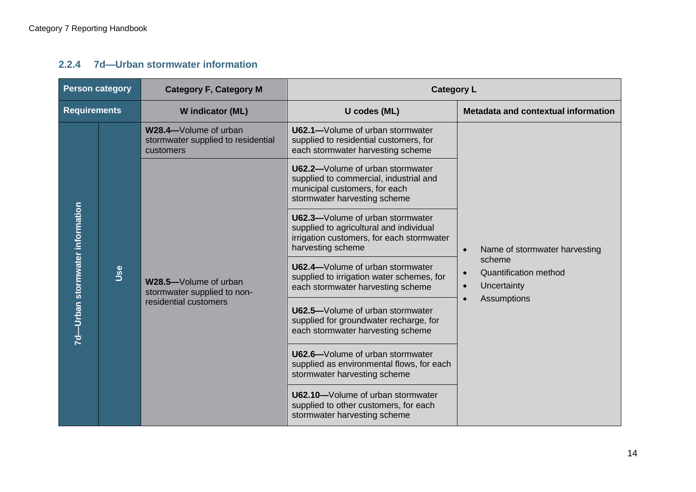### **2.2.4 7d—Urban stormwater information**

<span id="page-18-0"></span>

| <b>Person category</b>          |     | <b>Category F, Category M</b>                                            | <b>Category L</b>                                                                                                                             |                                                                                 |
|---------------------------------|-----|--------------------------------------------------------------------------|-----------------------------------------------------------------------------------------------------------------------------------------------|---------------------------------------------------------------------------------|
| <b>Requirements</b>             |     | W indicator (ML)                                                         | U codes (ML)                                                                                                                                  | Metadata and contextual information                                             |
|                                 |     | W28.4-Volume of urban<br>stormwater supplied to residential<br>customers | U62.1-Volume of urban stormwater<br>supplied to residential customers, for<br>each stormwater harvesting scheme                               |                                                                                 |
|                                 |     |                                                                          | U62.2-Volume of urban stormwater<br>supplied to commercial, industrial and<br>municipal customers, for each<br>stormwater harvesting scheme   |                                                                                 |
| 7d-Urban stormwater information |     |                                                                          | U62.3-Volume of urban stormwater<br>supplied to agricultural and individual<br>irrigation customers, for each stormwater<br>harvesting scheme | Name of stormwater harvesting                                                   |
|                                 | Use | W28.5-Volume of urban<br>stormwater supplied to non-                     | U62.4-Volume of urban stormwater<br>supplied to irrigation water schemes, for<br>each stormwater harvesting scheme                            | scheme<br><b>Quantification method</b><br>$\bullet$<br>Uncertainty<br>$\bullet$ |
|                                 |     | residential customers                                                    | U62.5-Volume of urban stormwater<br>supplied for groundwater recharge, for<br>each stormwater harvesting scheme                               | <b>Assumptions</b>                                                              |
|                                 |     |                                                                          | U62.6-Volume of urban stormwater<br>supplied as environmental flows, for each<br>stormwater harvesting scheme                                 |                                                                                 |
|                                 |     |                                                                          | U62.10-Volume of urban stormwater<br>supplied to other customers, for each<br>stormwater harvesting scheme                                    |                                                                                 |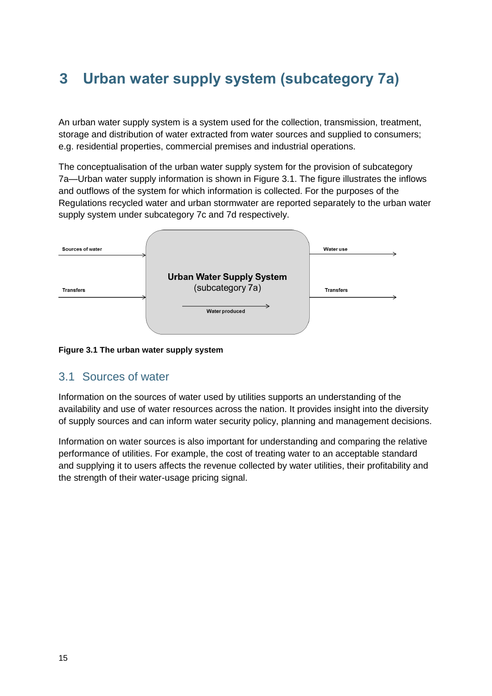# <span id="page-19-0"></span>**3 Urban water supply system (subcategory 7a)**

An urban water supply system is a system used for the collection, transmission, treatment, storage and distribution of water extracted from water sources and supplied to consumers; e.g. residential properties, commercial premises and industrial operations.

The conceptualisation of the urban water supply system for the provision of subcategory 7a—Urban water supply information is shown in Figure 3.1. The figure illustrates the inflows and outflows of the system for which information is collected. For the purposes of the Regulations recycled water and urban stormwater are reported separately to the urban water supply system under subcategory 7c and 7d respectively.

| Sources of water |                                  | <b>Water use</b> |
|------------------|----------------------------------|------------------|
|                  | <b>Urban Water Supply System</b> |                  |
| <b>Transfers</b> | (subcategory 7a)                 | <b>Transfers</b> |
|                  | <b>Water produced</b>            |                  |
|                  |                                  |                  |

#### **Figure 3.1 The urban water supply system**

### <span id="page-19-1"></span>3.1 Sources of water

Information on the sources of water used by utilities supports an understanding of the availability and use of water resources across the nation. It provides insight into the diversity of supply sources and can inform water security policy, planning and management decisions.

Information on water sources is also important for understanding and comparing the relative performance of utilities. For example, the cost of treating water to an acceptable standard and supplying it to users affects the revenue collected by water utilities, their profitability and the strength of their water-usage pricing signal.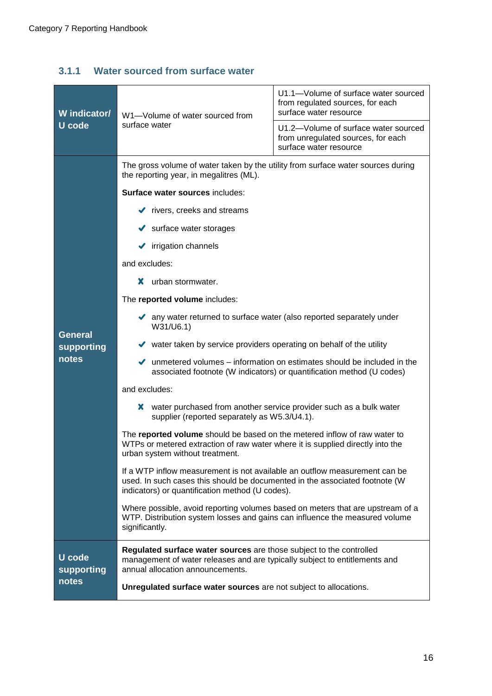### <span id="page-20-0"></span>**3.1.1 Water sourced from surface water**

| W indicator/         | W1-Volume of water sourced from                                                                                                                                                                              | U1.1-Volume of surface water sourced<br>from regulated sources, for each<br>surface water resource   |  |
|----------------------|--------------------------------------------------------------------------------------------------------------------------------------------------------------------------------------------------------------|------------------------------------------------------------------------------------------------------|--|
| <b>U</b> code        | surface water                                                                                                                                                                                                | U1.2-Volume of surface water sourced<br>from unregulated sources, for each<br>surface water resource |  |
|                      | The gross volume of water taken by the utility from surface water sources during<br>the reporting year, in megalitres (ML).                                                                                  |                                                                                                      |  |
|                      | Surface water sources includes:                                                                                                                                                                              |                                                                                                      |  |
|                      | $\blacktriangleright$ rivers, creeks and streams                                                                                                                                                             |                                                                                                      |  |
|                      | $\blacktriangleright$ surface water storages                                                                                                                                                                 |                                                                                                      |  |
|                      | $\blacktriangleright$ irrigation channels                                                                                                                                                                    |                                                                                                      |  |
|                      | and excludes:                                                                                                                                                                                                |                                                                                                      |  |
|                      | x.<br>urban stormwater.                                                                                                                                                                                      |                                                                                                      |  |
|                      | The reported volume includes:                                                                                                                                                                                |                                                                                                      |  |
| <b>General</b>       | any water returned to surface water (also reported separately under<br>W31/U6.1)                                                                                                                             |                                                                                                      |  |
| supporting           | v water taken by service providers operating on behalf of the utility                                                                                                                                        |                                                                                                      |  |
| notes                | unmetered volumes – information on estimates should be included in the<br>$\checkmark$<br>associated footnote (W indicators) or quantification method (U codes)                                              |                                                                                                      |  |
|                      | and excludes:                                                                                                                                                                                                |                                                                                                      |  |
|                      | water purchased from another service provider such as a bulk water<br>x<br>supplier (reported separately as W5.3/U4.1).                                                                                      |                                                                                                      |  |
|                      | The reported volume should be based on the metered inflow of raw water to<br>WTPs or metered extraction of raw water where it is supplied directly into the<br>urban system without treatment.               |                                                                                                      |  |
|                      | If a WTP inflow measurement is not available an outflow measurement can be<br>used. In such cases this should be documented in the associated footnote (W<br>indicators) or quantification method (U codes). |                                                                                                      |  |
|                      | Where possible, avoid reporting volumes based on meters that are upstream of a<br>WTP. Distribution system losses and gains can influence the measured volume<br>significantly.                              |                                                                                                      |  |
| U code<br>supporting | Regulated surface water sources are those subject to the controlled<br>management of water releases and are typically subject to entitlements and<br>annual allocation announcements.                        |                                                                                                      |  |
| notes                | Unregulated surface water sources are not subject to allocations.                                                                                                                                            |                                                                                                      |  |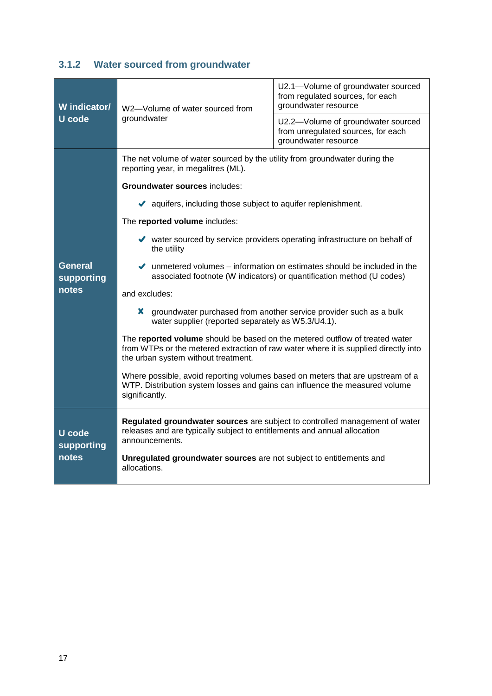### <span id="page-21-0"></span>**3.1.2 Water sourced from groundwater**

| W indicator/<br>U code               | W2-Volume of water sourced from<br>groundwater                                                                                                                                                            | U2.1-Volume of groundwater sourced<br>from regulated sources, for each<br>groundwater resource   |  |
|--------------------------------------|-----------------------------------------------------------------------------------------------------------------------------------------------------------------------------------------------------------|--------------------------------------------------------------------------------------------------|--|
|                                      |                                                                                                                                                                                                           | U2.2-Volume of groundwater sourced<br>from unregulated sources, for each<br>groundwater resource |  |
|                                      | reporting year, in megalitres (ML).                                                                                                                                                                       | The net volume of water sourced by the utility from groundwater during the                       |  |
|                                      | <b>Groundwater sources includes:</b>                                                                                                                                                                      |                                                                                                  |  |
|                                      | $\blacktriangleright$ aquifers, including those subject to aquifer replenishment.                                                                                                                         |                                                                                                  |  |
|                                      | The reported volume includes:                                                                                                                                                                             |                                                                                                  |  |
|                                      | vater sourced by service providers operating infrastructure on behalf of<br>the utility                                                                                                                   |                                                                                                  |  |
| <b>General</b><br>supporting         | $\blacktriangleright$ unmetered volumes – information on estimates should be included in the<br>associated footnote (W indicators) or quantification method (U codes)                                     |                                                                                                  |  |
| notes                                | and excludes:                                                                                                                                                                                             |                                                                                                  |  |
|                                      | X.<br>groundwater purchased from another service provider such as a bulk<br>water supplier (reported separately as W5.3/U4.1).                                                                            |                                                                                                  |  |
|                                      | The reported volume should be based on the metered outflow of treated water<br>from WTPs or the metered extraction of raw water where it is supplied directly into<br>the urban system without treatment. |                                                                                                  |  |
|                                      | Where possible, avoid reporting volumes based on meters that are upstream of a<br>WTP. Distribution system losses and gains can influence the measured volume<br>significantly.                           |                                                                                                  |  |
| <b>U</b> code<br>supporting<br>notes | Regulated groundwater sources are subject to controlled management of water<br>releases and are typically subject to entitlements and annual allocation<br>announcements.                                 |                                                                                                  |  |
|                                      | Unregulated groundwater sources are not subject to entitlements and<br>allocations.                                                                                                                       |                                                                                                  |  |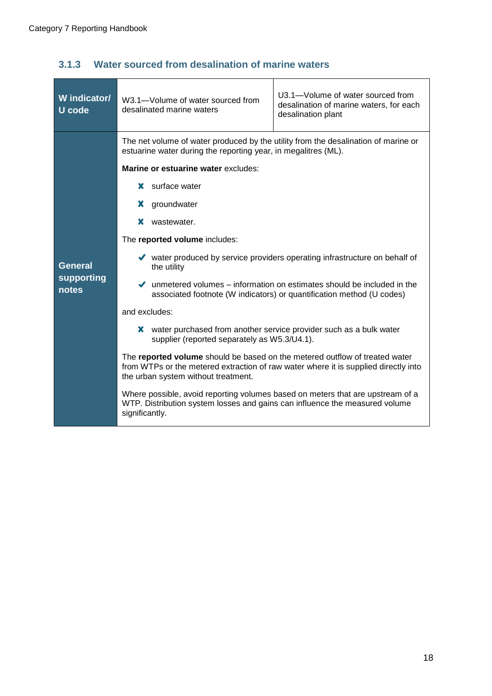÷

| W indicator/<br><b>U</b> code | W3.1-Volume of water sourced from<br>desalinated marine waters                                                                                                                                            | U3.1-Volume of water sourced from<br>desalination of marine waters, for each<br>desalination plant |  |
|-------------------------------|-----------------------------------------------------------------------------------------------------------------------------------------------------------------------------------------------------------|----------------------------------------------------------------------------------------------------|--|
|                               | The net volume of water produced by the utility from the desalination of marine or<br>estuarine water during the reporting year, in megalitres (ML).                                                      |                                                                                                    |  |
|                               | Marine or estuarine water excludes:                                                                                                                                                                       |                                                                                                    |  |
|                               | surface water<br>x.                                                                                                                                                                                       |                                                                                                    |  |
|                               | groundwater<br>х                                                                                                                                                                                          |                                                                                                    |  |
|                               | wastewater.<br>x.                                                                                                                                                                                         |                                                                                                    |  |
|                               | The reported volume includes:                                                                                                                                                                             |                                                                                                    |  |
| General                       | ◆ water produced by service providers operating infrastructure on behalf of<br>the utility                                                                                                                |                                                                                                    |  |
| supporting<br>notes           | $\blacktriangleright$ unmetered volumes – information on estimates should be included in the<br>associated footnote (W indicators) or quantification method (U codes)                                     |                                                                                                    |  |
|                               | and excludes:                                                                                                                                                                                             |                                                                                                    |  |
|                               | X.<br>water purchased from another service provider such as a bulk water<br>supplier (reported separately as W5.3/U4.1).                                                                                  |                                                                                                    |  |
|                               | The reported volume should be based on the metered outflow of treated water<br>from WTPs or the metered extraction of raw water where it is supplied directly into<br>the urban system without treatment. |                                                                                                    |  |
|                               | Where possible, avoid reporting volumes based on meters that are upstream of a<br>WTP. Distribution system losses and gains can influence the measured volume<br>significantly.                           |                                                                                                    |  |
|                               |                                                                                                                                                                                                           |                                                                                                    |  |

### <span id="page-22-0"></span>**3.1.3 Water sourced from desalination of marine waters**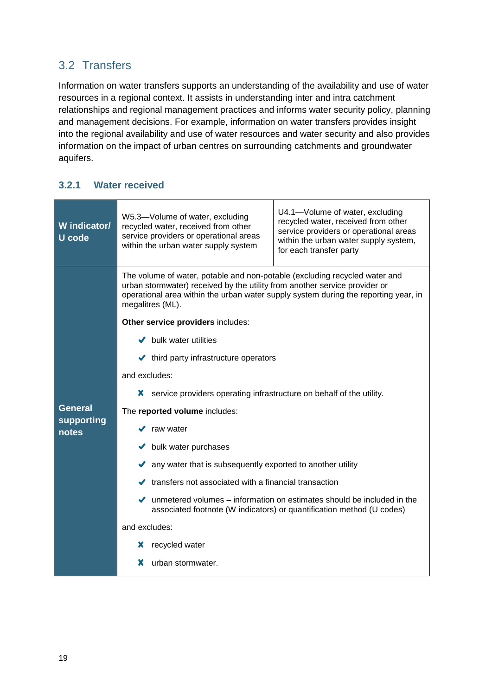### <span id="page-23-0"></span>3.2 Transfers

Information on water transfers supports an understanding of the availability and use of water resources in a regional context. It assists in understanding inter and intra catchment relationships and regional management practices and informs water security policy, planning and management decisions. For example, information on water transfers provides insight into the regional availability and use of water resources and water security and also provides information on the impact of urban centres on surrounding catchments and groundwater aquifers.

### <span id="page-23-1"></span>**3.2.1 Water received**

| W indicator/<br><b>U</b> code | U4.1-Volume of water, excluding<br>W5.3-Volume of water, excluding<br>recycled water, received from other<br>recycled water, received from other<br>service providers or operational areas<br>service providers or operational areas<br>within the urban water supply system,<br>within the urban water supply system<br>for each transfer party |  |  |
|-------------------------------|--------------------------------------------------------------------------------------------------------------------------------------------------------------------------------------------------------------------------------------------------------------------------------------------------------------------------------------------------|--|--|
|                               | The volume of water, potable and non-potable (excluding recycled water and<br>urban stormwater) received by the utility from another service provider or<br>operational area within the urban water supply system during the reporting year, in<br>megalitres (ML).                                                                              |  |  |
|                               | Other service providers includes:                                                                                                                                                                                                                                                                                                                |  |  |
|                               | $\blacktriangleright$ bulk water utilities                                                                                                                                                                                                                                                                                                       |  |  |
|                               | $\blacktriangleright$ third party infrastructure operators                                                                                                                                                                                                                                                                                       |  |  |
|                               | and excludes:                                                                                                                                                                                                                                                                                                                                    |  |  |
|                               | service providers operating infrastructure on behalf of the utility.<br>X.                                                                                                                                                                                                                                                                       |  |  |
| <b>General</b>                | The reported volume includes:                                                                                                                                                                                                                                                                                                                    |  |  |
| supporting<br>notes           | raw water<br>✔                                                                                                                                                                                                                                                                                                                                   |  |  |
|                               | $\blacktriangleright$ bulk water purchases                                                                                                                                                                                                                                                                                                       |  |  |
|                               | A any water that is subsequently exported to another utility                                                                                                                                                                                                                                                                                     |  |  |
|                               | $\blacktriangleright$ transfers not associated with a financial transaction                                                                                                                                                                                                                                                                      |  |  |
|                               | $\blacktriangleright$ unmetered volumes – information on estimates should be included in the<br>associated footnote (W indicators) or quantification method (U codes)                                                                                                                                                                            |  |  |
|                               | and excludes:                                                                                                                                                                                                                                                                                                                                    |  |  |
|                               | recycled water<br>х                                                                                                                                                                                                                                                                                                                              |  |  |
|                               | x<br>urban stormwater.                                                                                                                                                                                                                                                                                                                           |  |  |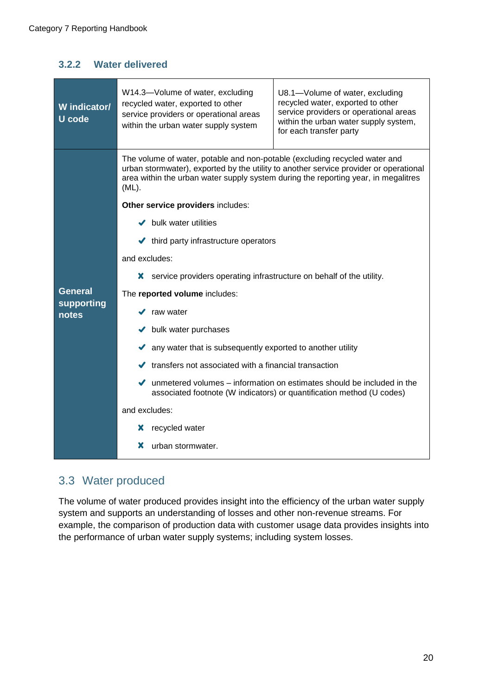### <span id="page-24-0"></span>**3.2.2 Water delivered**

| W indicator/<br>U code | W14.3-Volume of water, excluding<br>U8.1-Volume of water, excluding<br>recycled water, exported to other<br>recycled water, exported to other<br>service providers or operational areas<br>service providers or operational areas<br>within the urban water supply system,<br>within the urban water supply system<br>for each transfer party |  |  |
|------------------------|-----------------------------------------------------------------------------------------------------------------------------------------------------------------------------------------------------------------------------------------------------------------------------------------------------------------------------------------------|--|--|
|                        | The volume of water, potable and non-potable (excluding recycled water and<br>urban stormwater), exported by the utility to another service provider or operational<br>area within the urban water supply system during the reporting year, in megalitres<br>$(ML)$ .                                                                         |  |  |
|                        | Other service providers includes:                                                                                                                                                                                                                                                                                                             |  |  |
|                        | $\blacktriangleright$ bulk water utilities                                                                                                                                                                                                                                                                                                    |  |  |
|                        | $\blacktriangleright$ third party infrastructure operators                                                                                                                                                                                                                                                                                    |  |  |
|                        | and excludes:                                                                                                                                                                                                                                                                                                                                 |  |  |
|                        | x.<br>service providers operating infrastructure on behalf of the utility.                                                                                                                                                                                                                                                                    |  |  |
| <b>General</b>         | The reported volume includes:                                                                                                                                                                                                                                                                                                                 |  |  |
| supporting<br>notes    | raw water                                                                                                                                                                                                                                                                                                                                     |  |  |
|                        | $\blacktriangleright$ bulk water purchases                                                                                                                                                                                                                                                                                                    |  |  |
|                        | any water that is subsequently exported to another utility                                                                                                                                                                                                                                                                                    |  |  |
|                        | $\blacktriangleright$ transfers not associated with a financial transaction                                                                                                                                                                                                                                                                   |  |  |
|                        | $\blacktriangleright$ unmetered volumes – information on estimates should be included in the<br>associated footnote (W indicators) or quantification method (U codes)                                                                                                                                                                         |  |  |
|                        | and excludes:                                                                                                                                                                                                                                                                                                                                 |  |  |
|                        | recycled water<br>х                                                                                                                                                                                                                                                                                                                           |  |  |
|                        | urban stormwater.<br>x                                                                                                                                                                                                                                                                                                                        |  |  |

### <span id="page-24-1"></span>3.3 Water produced

The volume of water produced provides insight into the efficiency of the urban water supply system and supports an understanding of losses and other non-revenue streams. For example, the comparison of production data with customer usage data provides insights into the performance of urban water supply systems; including system losses.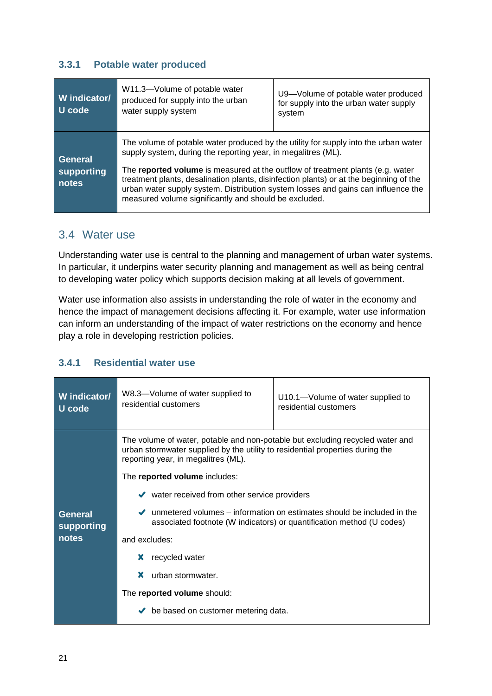### <span id="page-25-0"></span>**3.3.1 Potable water produced**

| W indicator/<br>U code                | W11.3-Volume of potable water<br>produced for supply into the urban<br>water supply system                                                                                                                                                                                                                                                                                                                                                                                     | U9-Volume of potable water produced<br>for supply into the urban water supply<br>system |
|---------------------------------------|--------------------------------------------------------------------------------------------------------------------------------------------------------------------------------------------------------------------------------------------------------------------------------------------------------------------------------------------------------------------------------------------------------------------------------------------------------------------------------|-----------------------------------------------------------------------------------------|
| <b>General</b><br>supporting<br>notes | The volume of potable water produced by the utility for supply into the urban water<br>supply system, during the reporting year, in megalitres (ML).<br>The reported volume is measured at the outflow of treatment plants (e.g. water<br>treatment plants, desalination plants, disinfection plants) or at the beginning of the<br>urban water supply system. Distribution system losses and gains can influence the<br>measured volume significantly and should be excluded. |                                                                                         |

### <span id="page-25-1"></span>3.4 Water use

Understanding water use is central to the planning and management of urban water systems. In particular, it underpins water security planning and management as well as being central to developing water policy which supports decision making at all levels of government.

Water use information also assists in understanding the role of water in the economy and hence the impact of management decisions affecting it. For example, water use information can inform an understanding of the impact of water restrictions on the economy and hence play a role in developing restriction policies.

### <span id="page-25-2"></span>**3.4.1 Residential water use**

| W indicator/                   | W8.3-Volume of water supplied to                                                                                                                                                                                                                                                                                                                                                                                                                                    | U10.1—Volume of water supplied to                                                                                                                                     |
|--------------------------------|---------------------------------------------------------------------------------------------------------------------------------------------------------------------------------------------------------------------------------------------------------------------------------------------------------------------------------------------------------------------------------------------------------------------------------------------------------------------|-----------------------------------------------------------------------------------------------------------------------------------------------------------------------|
| U code                         | residential customers                                                                                                                                                                                                                                                                                                                                                                                                                                               | residential customers                                                                                                                                                 |
| General<br>supporting<br>notes | The volume of water, potable and non-potable but excluding recycled water and<br>urban stormwater supplied by the utility to residential properties during the<br>reporting year, in megalitres (ML).<br>The reported volume includes:<br>$\blacktriangleright$ water received from other service providers<br>and excludes:<br>recycled water<br>х<br>x<br>urban stormwater.<br>The reported volume should:<br>be based on customer metering data.<br>$\checkmark$ | $\blacktriangleright$ unmetered volumes – information on estimates should be included in the<br>associated footnote (W indicators) or quantification method (U codes) |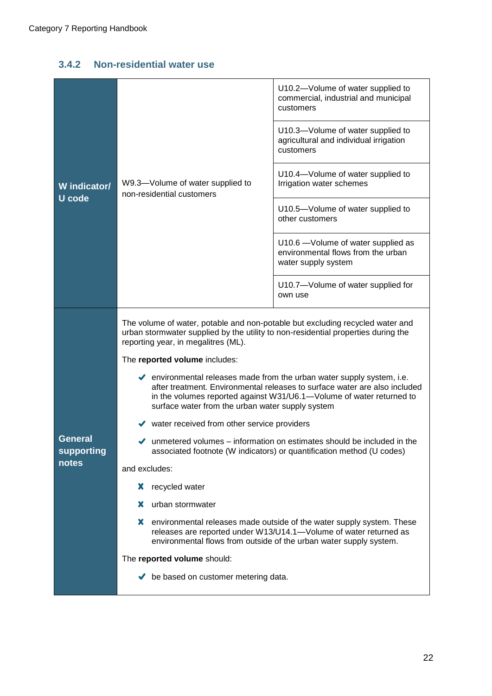### <span id="page-26-0"></span>**3.4.2 Non-residential water use**

| W indicator/          | W9.3-Volume of water supplied to<br>non-residential customers                                                                                                                                                                                                                                        | U10.2-Volume of water supplied to<br>commercial, industrial and municipal<br>customers                                                                                                                           |
|-----------------------|------------------------------------------------------------------------------------------------------------------------------------------------------------------------------------------------------------------------------------------------------------------------------------------------------|------------------------------------------------------------------------------------------------------------------------------------------------------------------------------------------------------------------|
|                       |                                                                                                                                                                                                                                                                                                      | U10.3-Volume of water supplied to<br>agricultural and individual irrigation<br>customers                                                                                                                         |
|                       |                                                                                                                                                                                                                                                                                                      | U10.4-Volume of water supplied to<br>Irrigation water schemes                                                                                                                                                    |
| <b>U</b> code         |                                                                                                                                                                                                                                                                                                      | U10.5-Volume of water supplied to<br>other customers                                                                                                                                                             |
|                       |                                                                                                                                                                                                                                                                                                      | U10.6 - Volume of water supplied as<br>environmental flows from the urban<br>water supply system                                                                                                                 |
|                       |                                                                                                                                                                                                                                                                                                      | U10.7-Volume of water supplied for<br>own use                                                                                                                                                                    |
|                       | The volume of water, potable and non-potable but excluding recycled water and<br>urban stormwater supplied by the utility to non-residential properties during the<br>reporting year, in megalitres (ML).                                                                                            |                                                                                                                                                                                                                  |
|                       | The reported volume includes:                                                                                                                                                                                                                                                                        |                                                                                                                                                                                                                  |
|                       | $\blacktriangleright$ environmental releases made from the urban water supply system, i.e.<br>after treatment. Environmental releases to surface water are also included<br>in the volumes reported against W31/U6.1-Volume of water returned to<br>surface water from the urban water supply system |                                                                                                                                                                                                                  |
|                       | $\blacktriangleright$ water received from other service providers                                                                                                                                                                                                                                    |                                                                                                                                                                                                                  |
| General<br>supporting | $\blacktriangleright$ unmetered volumes – information on estimates should be included in the<br>associated footnote (W indicators) or quantification method (U codes)                                                                                                                                |                                                                                                                                                                                                                  |
| notes                 | and excludes:                                                                                                                                                                                                                                                                                        |                                                                                                                                                                                                                  |
|                       | x<br>recycled water                                                                                                                                                                                                                                                                                  |                                                                                                                                                                                                                  |
|                       | urban stormwater<br>x                                                                                                                                                                                                                                                                                |                                                                                                                                                                                                                  |
|                       | X                                                                                                                                                                                                                                                                                                    | environmental releases made outside of the water supply system. These<br>releases are reported under W13/U14.1-Volume of water returned as<br>environmental flows from outside of the urban water supply system. |
|                       | The reported volume should:                                                                                                                                                                                                                                                                          |                                                                                                                                                                                                                  |
|                       | $\blacktriangleright$ be based on customer metering data.                                                                                                                                                                                                                                            |                                                                                                                                                                                                                  |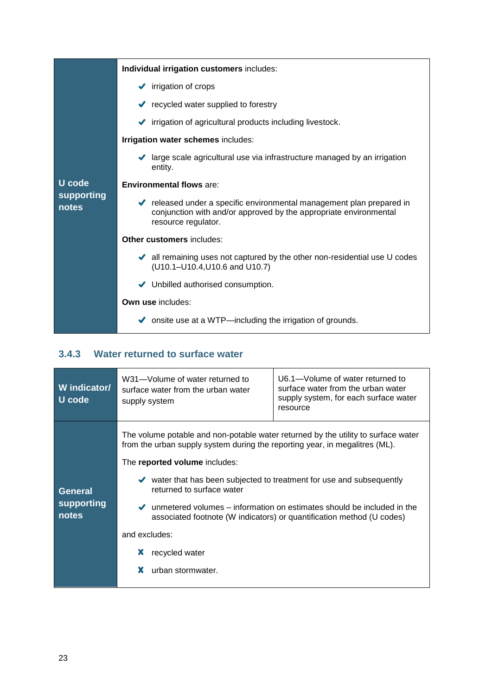|                            | Individual irrigation customers includes:                                                                                                                                             |  |
|----------------------------|---------------------------------------------------------------------------------------------------------------------------------------------------------------------------------------|--|
|                            | $\blacktriangleright$ irrigation of crops                                                                                                                                             |  |
|                            | $\blacktriangleright$ recycled water supplied to forestry                                                                                                                             |  |
|                            | irrigation of agricultural products including livestock.                                                                                                                              |  |
|                            | Irrigation water schemes includes:                                                                                                                                                    |  |
|                            | ◆ large scale agricultural use via infrastructure managed by an irrigation<br>entity.                                                                                                 |  |
| U code                     | <b>Environmental flows are:</b>                                                                                                                                                       |  |
| <b>supporting</b><br>notes | $\blacktriangleright$ released under a specific environmental management plan prepared in<br>conjunction with and/or approved by the appropriate environmental<br>resource regulator. |  |
|                            | <b>Other customers includes:</b>                                                                                                                                                      |  |
|                            | all remaining uses not captured by the other non-residential use U codes<br>(U10.1-U10.4, U10.6 and U10.7)                                                                            |  |
|                            | Unbilled authorised consumption.                                                                                                                                                      |  |
|                            | Own use includes:                                                                                                                                                                     |  |
|                            | onsite use at a WTP—including the irrigation of grounds.                                                                                                                              |  |

### <span id="page-27-0"></span>**3.4.3 Water returned to surface water**

| W indicator/<br>U code                | W31-Volume of water returned to<br>surface water from the urban water<br>supply system                                                                                                                                                                                                                                                                                                        | U6.1—Volume of water returned to<br>surface water from the urban water<br>supply system, for each surface water<br>resource                                           |
|---------------------------------------|-----------------------------------------------------------------------------------------------------------------------------------------------------------------------------------------------------------------------------------------------------------------------------------------------------------------------------------------------------------------------------------------------|-----------------------------------------------------------------------------------------------------------------------------------------------------------------------|
| <b>General</b><br>supporting<br>notes | The volume potable and non-potable water returned by the utility to surface water<br>from the urban supply system during the reporting year, in megalitres (ML).<br>The reported volume includes:<br>$\blacktriangleright$ water that has been subjected to treatment for use and subsequently<br>returned to surface water<br>and excludes:<br>x<br>recycled water<br>x<br>urban stormwater. | $\blacktriangleright$ unmetered volumes – information on estimates should be included in the<br>associated footnote (W indicators) or quantification method (U codes) |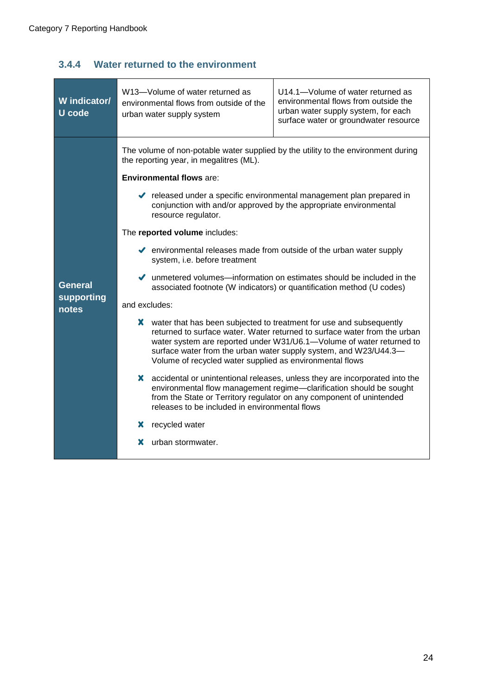### <span id="page-28-0"></span>**3.4.4 Water returned to the environment**

| W indicator/<br><b>U</b> code         | U14.1-Volume of water returned as<br>W13-Volume of water returned as<br>environmental flows from outside the<br>environmental flows from outside of the<br>urban water supply system, for each<br>urban water supply system<br>surface water or groundwater resource                                                                                                                                                                                                                                                                                                                                                                                                                                                                                                                                                                                                                                                                                                                                                                                                                                                                                                                                                                                                                                                                                                                                                 |  |
|---------------------------------------|----------------------------------------------------------------------------------------------------------------------------------------------------------------------------------------------------------------------------------------------------------------------------------------------------------------------------------------------------------------------------------------------------------------------------------------------------------------------------------------------------------------------------------------------------------------------------------------------------------------------------------------------------------------------------------------------------------------------------------------------------------------------------------------------------------------------------------------------------------------------------------------------------------------------------------------------------------------------------------------------------------------------------------------------------------------------------------------------------------------------------------------------------------------------------------------------------------------------------------------------------------------------------------------------------------------------------------------------------------------------------------------------------------------------|--|
| <b>General</b><br>supporting<br>notes | The volume of non-potable water supplied by the utility to the environment during<br>the reporting year, in megalitres (ML).<br><b>Environmental flows are:</b><br>lacktrianglement plan prepared in relation of relation of the specific environmental management plan prepared in<br>conjunction with and/or approved by the appropriate environmental<br>resource regulator.<br>The reported volume includes:<br>$\blacktriangleright$ environmental releases made from outside of the urban water supply<br>system, i.e. before treatment<br>unmetered volumes—information on estimates should be included in the<br>associated footnote (W indicators) or quantification method (U codes)<br>and excludes:<br>water that has been subjected to treatment for use and subsequently<br>x.<br>returned to surface water. Water returned to surface water from the urban<br>water system are reported under W31/U6.1-Volume of water returned to<br>surface water from the urban water supply system, and W23/U44.3-<br>Volume of recycled water supplied as environmental flows<br>X accidental or unintentional releases, unless they are incorporated into the<br>environmental flow management regime-clarification should be sought<br>from the State or Territory regulator on any component of unintended<br>releases to be included in environmental flows<br>recycled water<br>x<br>x<br>urban stormwater. |  |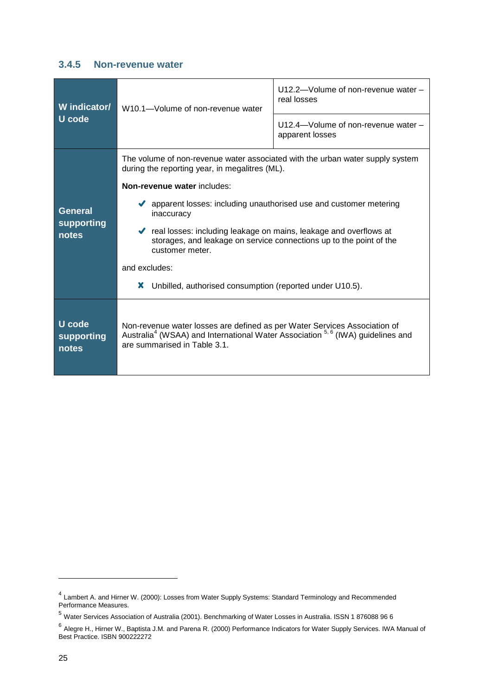#### <span id="page-29-0"></span>**3.4.5 Non-revenue water**

| W indicator/<br>U code        | W10.1-Volume of non-revenue water                                                                                                                                                                                   | U12.2-Volume of non-revenue water -<br>real losses     |  |
|-------------------------------|---------------------------------------------------------------------------------------------------------------------------------------------------------------------------------------------------------------------|--------------------------------------------------------|--|
|                               |                                                                                                                                                                                                                     | U12.4-Volume of non-revenue water -<br>apparent losses |  |
|                               | The volume of non-revenue water associated with the urban water supply system<br>during the reporting year, in megalitres (ML).                                                                                     |                                                        |  |
|                               | Non-revenue water includes:                                                                                                                                                                                         |                                                        |  |
| <b>General</b>                | ◆ apparent losses: including unauthorised use and customer metering<br>inaccuracy                                                                                                                                   |                                                        |  |
| supporting<br>notes           | cal losses: including leakage on mains, leakage and overflows at<br>storages, and leakage on service connections up to the point of the<br>customer meter.                                                          |                                                        |  |
|                               | and excludes:                                                                                                                                                                                                       |                                                        |  |
|                               | Unbilled, authorised consumption (reported under U10.5).<br>x                                                                                                                                                       |                                                        |  |
| U code<br>supporting<br>notes | Non-revenue water losses are defined as per Water Services Association of<br>Australia <sup>4</sup> (WSAA) and International Water Association <sup>5, 6</sup> (IWA) guidelines and<br>are summarised in Table 3.1. |                                                        |  |

<sup>&</sup>lt;sup>4</sup> Lambert A. and Hirner W. (2000): Losses from Water Supply Systems: Standard Terminology and Recommended Performance Measures.

<sup>5</sup> Water Services Association of Australia (2001). Benchmarking of Water Losses in Australia. ISSN 1 876088 96 6

<sup>&</sup>lt;sup>6</sup> Alegre H., Hirner W., Baptista J.M. and Parena R. (2000) Performance Indicators for Water Supply Services. IWA Manual of Best Practice. ISBN 900222272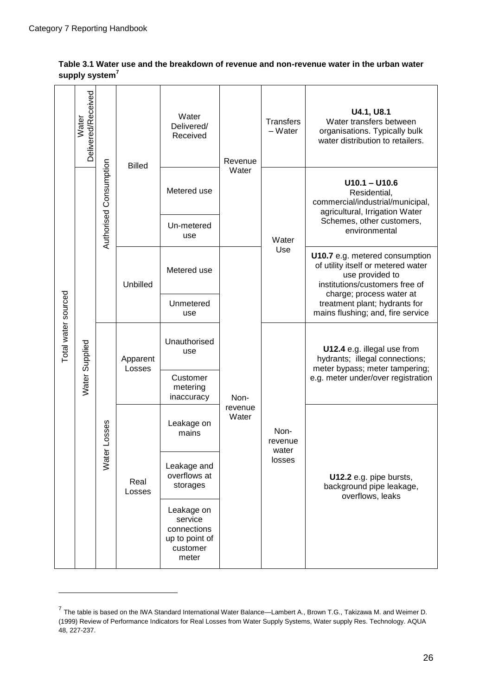$\overline{\phantom{a}}$ 

Ē

۳.

|                     | Delivered/Received<br>Water |                                | <b>Billed</b>                                                               | Water<br>Delivered/<br>Received    | Revenue<br>Water | <b>Transfers</b><br>$-Water$                                            | U4.1, U8.1<br>Water transfers between<br>organisations. Typically bulk<br>water distribution to retailers.                                          |
|---------------------|-----------------------------|--------------------------------|-----------------------------------------------------------------------------|------------------------------------|------------------|-------------------------------------------------------------------------|-----------------------------------------------------------------------------------------------------------------------------------------------------|
|                     |                             | Authorised Consumption         |                                                                             | Metered use                        |                  |                                                                         | $U10.1 - U10.6$<br>Residential,<br>commercial/industrial/municipal,<br>agricultural, Irrigation Water<br>Schemes, other customers,<br>environmental |
|                     |                             |                                |                                                                             | Un-metered<br>use                  |                  | Water<br>Use                                                            |                                                                                                                                                     |
|                     |                             |                                | Unbilled                                                                    | Metered use                        | Non-             |                                                                         | U10.7 e.g. metered consumption<br>of utility itself or metered water<br>use provided to<br>institutions/customers free of                           |
|                     |                             |                                |                                                                             | Unmetered<br>use                   |                  |                                                                         | charge; process water at<br>treatment plant; hydrants for<br>mains flushing; and, fire service                                                      |
| Total water sourced |                             | Water Supplied<br>Water Losses | Apparent<br>Losses                                                          | Unauthorised<br>use                |                  | Non-<br>revenue<br>water                                                | U12.4 e.g. illegal use from<br>hydrants; illegal connections;<br>meter bypass; meter tampering;<br>e.g. meter under/over registration               |
|                     |                             |                                |                                                                             | Customer<br>metering<br>inaccuracy |                  |                                                                         |                                                                                                                                                     |
|                     |                             |                                |                                                                             | Leakage on<br>mains                | revenue<br>Water |                                                                         |                                                                                                                                                     |
|                     |                             | Real<br>Losses                 | Leakage and<br>overflows at<br>storages                                     |                                    | losses           | U12.2 e.g. pipe bursts,<br>background pipe leakage,<br>overflows, leaks |                                                                                                                                                     |
|                     |                             |                                | Leakage on<br>service<br>connections<br>up to point of<br>customer<br>meter |                                    |                  |                                                                         |                                                                                                                                                     |

#### **Table 3.1 Water use and the breakdown of revenue and non-revenue water in the urban water supply system<sup>7</sup>**

 $\overline{\phantom{a}}$ 

 $\overline{\phantom{a}}$ 

 $\overline{\phantom{a}}$ 

<sup>&</sup>lt;sup>7</sup> The table is based on the IWA Standard International Water Balance—Lambert A., Brown T.G., Takizawa M. and Weimer D. (1999) Review of Performance Indicators for Real Losses from Water Supply Systems, Water supply Res. Technology. AQUA 48, 227-237.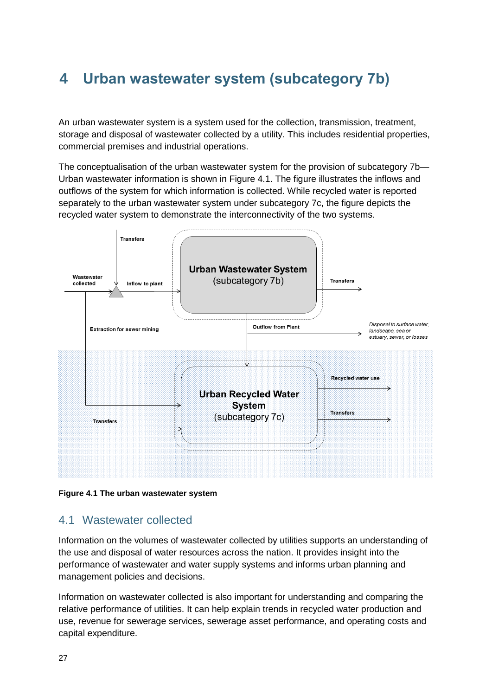# <span id="page-31-0"></span>**4 Urban wastewater system (subcategory 7b)**

An urban wastewater system is a system used for the collection, transmission, treatment, storage and disposal of wastewater collected by a utility. This includes residential properties, commercial premises and industrial operations.

The conceptualisation of the urban wastewater system for the provision of subcategory 7b— Urban wastewater information is shown in Figure 4.1. The figure illustrates the inflows and outflows of the system for which information is collected. While recycled water is reported separately to the urban wastewater system under subcategory 7c, the figure depicts the recycled water system to demonstrate the interconnectivity of the two systems.



**Figure 4.1 The urban wastewater system**

### <span id="page-31-1"></span>4.1 Wastewater collected

Information on the volumes of wastewater collected by utilities supports an understanding of the use and disposal of water resources across the nation. It provides insight into the performance of wastewater and water supply systems and informs urban planning and management policies and decisions.

Information on wastewater collected is also important for understanding and comparing the relative performance of utilities. It can help explain trends in recycled water production and use, revenue for sewerage services, sewerage asset performance, and operating costs and capital expenditure.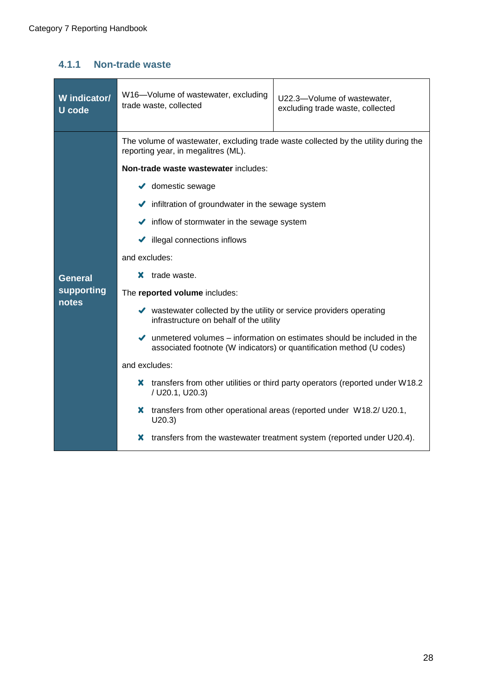### <span id="page-32-0"></span>**4.1.1 Non-trade waste**

| W indicator/<br>U code | W16-Volume of wastewater, excluding<br>U22.3-Volume of wastewater,<br>trade waste, collected<br>excluding trade waste, collected                                      |  |  |
|------------------------|-----------------------------------------------------------------------------------------------------------------------------------------------------------------------|--|--|
|                        | The volume of wastewater, excluding trade waste collected by the utility during the<br>reporting year, in megalitres (ML).                                            |  |  |
|                        | Non-trade waste wastewater includes:<br>$\blacktriangleright$ domestic sewage                                                                                         |  |  |
|                        | Infiltration of groundwater in the sewage system                                                                                                                      |  |  |
|                        | $\blacktriangleright$ inflow of stormwater in the sewage system                                                                                                       |  |  |
|                        | illegal connections inflows<br>✔                                                                                                                                      |  |  |
|                        | and excludes:                                                                                                                                                         |  |  |
| <b>General</b>         | trade waste.<br>x.                                                                                                                                                    |  |  |
| supporting<br>notes    | The reported volume includes:                                                                                                                                         |  |  |
|                        | ◆ wastewater collected by the utility or service providers operating<br>infrastructure on behalf of the utility                                                       |  |  |
|                        | $\blacktriangleright$ unmetered volumes – information on estimates should be included in the<br>associated footnote (W indicators) or quantification method (U codes) |  |  |
|                        | and excludes:                                                                                                                                                         |  |  |
|                        | transfers from other utilities or third party operators (reported under W18.2<br>X.<br>/ U20.1, U20.3)                                                                |  |  |
|                        | X transfers from other operational areas (reported under W18.2/U20.1,<br>U20.3)                                                                                       |  |  |
|                        | transfers from the wastewater treatment system (reported under U20.4).<br>x                                                                                           |  |  |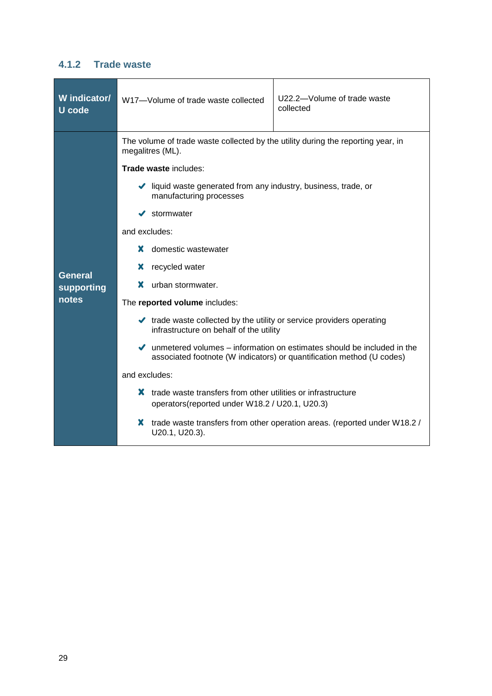### <span id="page-33-0"></span>**4.1.2 Trade waste**

| W indicator/<br>U code                | U22.2-Volume of trade waste<br>W17-Volume of trade waste collected<br>collected                                                                                                                                                                                                                                                                                                                                                                                                                                                                                                                                                                                                                                                                                                                                                              |
|---------------------------------------|----------------------------------------------------------------------------------------------------------------------------------------------------------------------------------------------------------------------------------------------------------------------------------------------------------------------------------------------------------------------------------------------------------------------------------------------------------------------------------------------------------------------------------------------------------------------------------------------------------------------------------------------------------------------------------------------------------------------------------------------------------------------------------------------------------------------------------------------|
| <b>General</b><br>supporting<br>notes | The volume of trade waste collected by the utility during the reporting year, in<br>megalitres (ML).<br><b>Trade waste includes:</b><br>I liquid waste generated from any industry, business, trade, or<br>manufacturing processes<br>stormwater<br>and excludes:<br>x.<br>domestic wastewater<br>x<br>recycled water<br>urban stormwater.<br>x.<br>The reported volume includes:<br>$\blacktriangleright$ trade waste collected by the utility or service providers operating<br>infrastructure on behalf of the utility<br>$\blacktriangleright$ unmetered volumes – information on estimates should be included in the<br>associated footnote (W indicators) or quantification method (U codes)<br>and excludes:<br>X.<br>trade waste transfers from other utilities or infrastructure<br>operators (reported under W18.2 / U20.1, U20.3) |
|                                       | X<br>trade waste transfers from other operation areas. (reported under W18.2 /<br>U20.1, U20.3).                                                                                                                                                                                                                                                                                                                                                                                                                                                                                                                                                                                                                                                                                                                                             |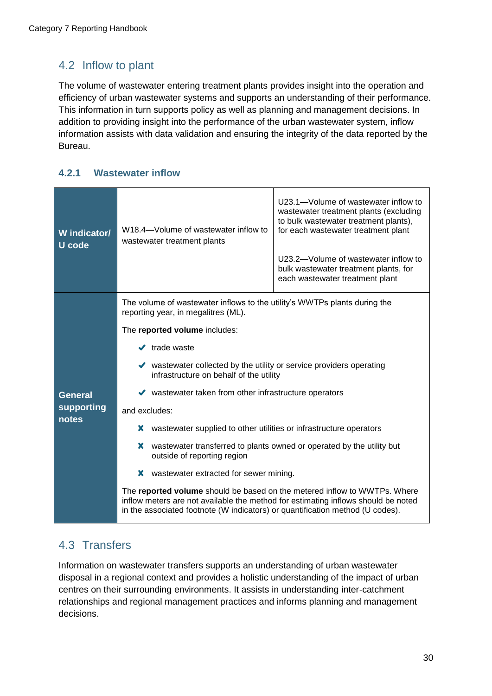### <span id="page-34-0"></span>4.2 Inflow to plant

The volume of wastewater entering treatment plants provides insight into the operation and efficiency of urban wastewater systems and supports an understanding of their performance. This information in turn supports policy as well as planning and management decisions. In addition to providing insight into the performance of the urban wastewater system, inflow information assists with data validation and ensuring the integrity of the data reported by the Bureau.

### <span id="page-34-1"></span>**4.2.1 Wastewater inflow**

| W indicator/<br>U code                | U23.1-Volume of wastewater inflow to<br>wastewater treatment plants (excluding<br>to bulk wastewater treatment plants),<br>W18.4-Volume of wastewater inflow to<br>for each wastewater treatment plant<br>wastewater treatment plants<br>U23.2-Volume of wastewater inflow to<br>bulk wastewater treatment plants, for<br>each wastewater treatment plant                                                                                                                                                                                                                                                                                                                                                                                                                                                                                                                                        |
|---------------------------------------|--------------------------------------------------------------------------------------------------------------------------------------------------------------------------------------------------------------------------------------------------------------------------------------------------------------------------------------------------------------------------------------------------------------------------------------------------------------------------------------------------------------------------------------------------------------------------------------------------------------------------------------------------------------------------------------------------------------------------------------------------------------------------------------------------------------------------------------------------------------------------------------------------|
| <b>General</b><br>supporting<br>notes | The volume of wastewater inflows to the utility's WWTPs plants during the<br>reporting year, in megalitres (ML).<br>The reported volume includes:<br>$\blacktriangleright$ trade waste<br>vastewater collected by the utility or service providers operating<br>infrastructure on behalf of the utility<br>$\blacktriangleright$ wastewater taken from other infrastructure operators<br>and excludes:<br>x<br>wastewater supplied to other utilities or infrastructure operators<br>x<br>wastewater transferred to plants owned or operated by the utility but<br>outside of reporting region<br>X<br>wastewater extracted for sewer mining.<br>The reported volume should be based on the metered inflow to WWTPs. Where<br>inflow meters are not available the method for estimating inflows should be noted<br>in the associated footnote (W indicators) or quantification method (U codes). |

### <span id="page-34-2"></span>4.3 Transfers

Information on wastewater transfers supports an understanding of urban wastewater disposal in a regional context and provides a holistic understanding of the impact of urban centres on their surrounding environments. It assists in understanding inter-catchment relationships and regional management practices and informs planning and management decisions.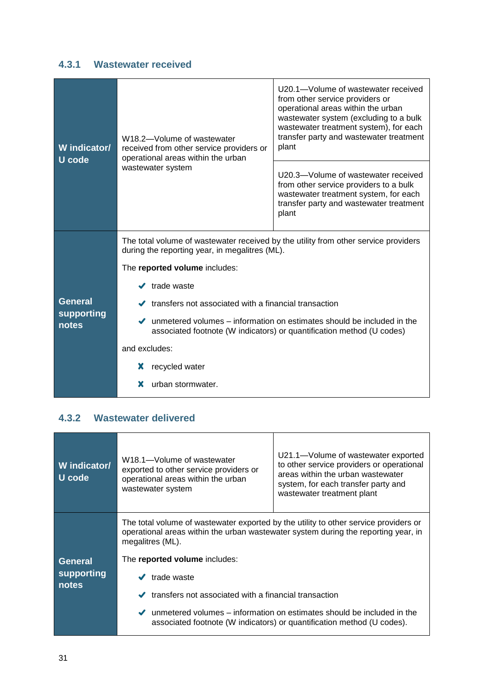### <span id="page-35-0"></span>**4.3.1 Wastewater received**

| W indicator/<br><b>U</b> code | W18.2-Volume of wastewater<br>received from other service providers or<br>operational areas within the urban<br>wastewater system               | U20.1-Volume of wastewater received<br>from other service providers or<br>operational areas within the urban<br>wastewater system (excluding to a bulk<br>wastewater treatment system), for each<br>transfer party and wastewater treatment<br>plant |  |
|-------------------------------|-------------------------------------------------------------------------------------------------------------------------------------------------|------------------------------------------------------------------------------------------------------------------------------------------------------------------------------------------------------------------------------------------------------|--|
|                               |                                                                                                                                                 | U20.3-Volume of wastewater received<br>from other service providers to a bulk<br>wastewater treatment system, for each<br>transfer party and wastewater treatment<br>plant                                                                           |  |
|                               | The total volume of wastewater received by the utility from other service providers<br>during the reporting year, in megalitres (ML).           |                                                                                                                                                                                                                                                      |  |
|                               | The reported volume includes:                                                                                                                   |                                                                                                                                                                                                                                                      |  |
|                               | $\checkmark$ trade waste                                                                                                                        |                                                                                                                                                                                                                                                      |  |
| <b>General</b><br>supporting  | $\blacktriangleright$ transfers not associated with a financial transaction                                                                     |                                                                                                                                                                                                                                                      |  |
| notes                         | unmetered volumes – information on estimates should be included in the<br>associated footnote (W indicators) or quantification method (U codes) |                                                                                                                                                                                                                                                      |  |
|                               | and excludes:                                                                                                                                   |                                                                                                                                                                                                                                                      |  |
|                               | recycled water<br>x                                                                                                                             |                                                                                                                                                                                                                                                      |  |
|                               | x<br>urban stormwater.                                                                                                                          |                                                                                                                                                                                                                                                      |  |

### <span id="page-35-1"></span>**4.3.2 Wastewater delivered**

| W indicator/<br>U code | W18.1-Volume of wastewater<br>exported to other service providers or<br>operational areas within the urban<br>wastewater system                                                                | U21.1—Volume of wastewater exported<br>to other service providers or operational<br>areas within the urban wastewater<br>system, for each transfer party and<br>wastewater treatment plant |  |
|------------------------|------------------------------------------------------------------------------------------------------------------------------------------------------------------------------------------------|--------------------------------------------------------------------------------------------------------------------------------------------------------------------------------------------|--|
|                        | The total volume of wastewater exported by the utility to other service providers or<br>operational areas within the urban wastewater system during the reporting year, in<br>megalitres (ML). |                                                                                                                                                                                            |  |
| General                | The reported volume includes:                                                                                                                                                                  |                                                                                                                                                                                            |  |
| supporting<br>notes    | trade waste                                                                                                                                                                                    |                                                                                                                                                                                            |  |
|                        | transfers not associated with a financial transaction                                                                                                                                          |                                                                                                                                                                                            |  |
|                        | $\blacktriangleright$ unmetered volumes – information on estimates should be included in the<br>associated footnote (W indicators) or quantification method (U codes).                         |                                                                                                                                                                                            |  |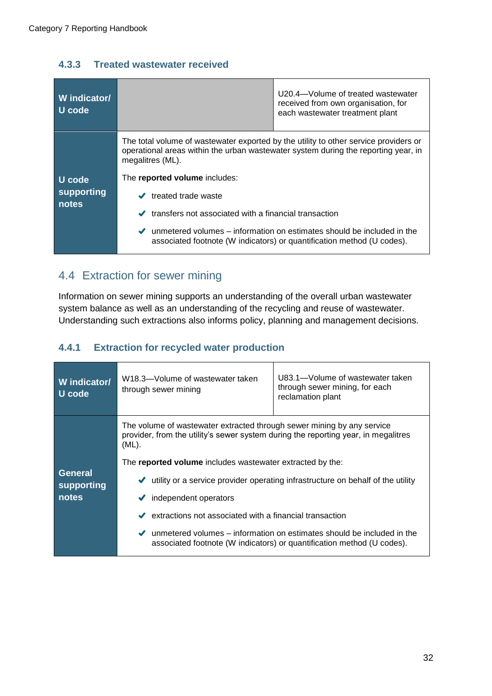### <span id="page-36-0"></span>**4.3.3 Treated wastewater received**

| W indicator/<br>U code        | U20.4—Volume of treated wastewater<br>received from own organisation, for<br>each wastewater treatment plant                                                                                                                                                                                                                                                                                                                                                                                              |
|-------------------------------|-----------------------------------------------------------------------------------------------------------------------------------------------------------------------------------------------------------------------------------------------------------------------------------------------------------------------------------------------------------------------------------------------------------------------------------------------------------------------------------------------------------|
| U code<br>supporting<br>notes | The total volume of wastewater exported by the utility to other service providers or<br>operational areas within the urban wastewater system during the reporting year, in<br>megalitres (ML).<br>The reported volume includes:<br>treated trade waste<br>$\checkmark$<br>transfers not associated with a financial transaction<br>$\blacktriangleright$ unmetered volumes – information on estimates should be included in the<br>associated footnote (W indicators) or quantification method (U codes). |

### <span id="page-36-1"></span>4.4 Extraction for sewer mining

Information on sewer mining supports an understanding of the overall urban wastewater system balance as well as an understanding of the recycling and reuse of wastewater. Understanding such extractions also informs policy, planning and management decisions.

### <span id="page-36-2"></span>**4.4.1 Extraction for recycled water production**

<span id="page-36-3"></span>

| W indicator/<br><b>U</b> code  | W18.3-Volume of wastewater taken<br>through sewer mining                                                                                                                                                                                                                                                                                       | U83.1-Volume of wastewater taken<br>through sewer mining, for each<br>reclamation plant                                                                                                                                                                   |
|--------------------------------|------------------------------------------------------------------------------------------------------------------------------------------------------------------------------------------------------------------------------------------------------------------------------------------------------------------------------------------------|-----------------------------------------------------------------------------------------------------------------------------------------------------------------------------------------------------------------------------------------------------------|
| General<br>supporting<br>notes | The volume of wastewater extracted through sewer mining by any service<br>provider, from the utility's sewer system during the reporting year, in megalitres<br>$(ML)$ .<br>The reported volume includes wastewater extracted by the:<br>$\checkmark$<br>independent operators<br>extractions not associated with a financial transaction<br>✔ | utility or a service provider operating infrastructure on behalf of the utility<br>$\blacktriangleright$ unmetered volumes – information on estimates should be included in the<br>associated footnote (W indicators) or quantification method (U codes). |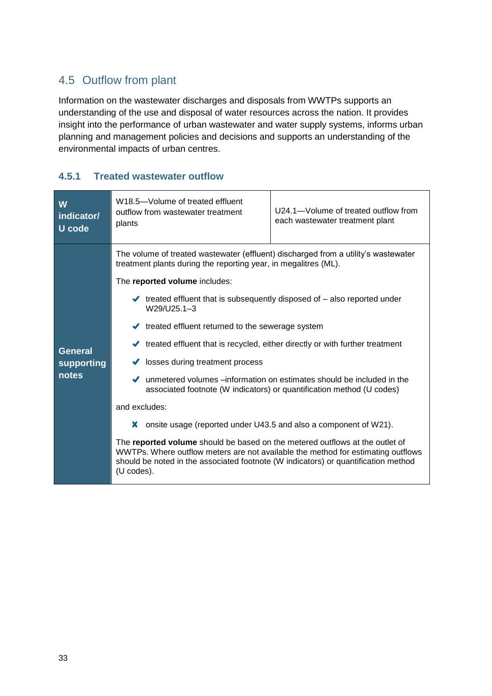### 4.5 Outflow from plant

Information on the wastewater discharges and disposals from WWTPs supports an understanding of the use and disposal of water resources across the nation. It provides insight into the performance of urban wastewater and water supply systems, informs urban planning and management policies and decisions and supports an understanding of the environmental impacts of urban centres.

#### <span id="page-37-0"></span>**4.5.1 Treated wastewater outflow**

| W<br>indicator/<br><b>U</b> code      | W <sub>18.5</sub> -Volume of treated effluent<br>outflow from wastewater treatment<br>plants                                                                                                                                                                                                                                                                                                                                                                                                                                                                                                                                                                                                                                                                                                                                                                                                                                                                                                                                           | U24.1-Volume of treated outflow from<br>each wastewater treatment plant |
|---------------------------------------|----------------------------------------------------------------------------------------------------------------------------------------------------------------------------------------------------------------------------------------------------------------------------------------------------------------------------------------------------------------------------------------------------------------------------------------------------------------------------------------------------------------------------------------------------------------------------------------------------------------------------------------------------------------------------------------------------------------------------------------------------------------------------------------------------------------------------------------------------------------------------------------------------------------------------------------------------------------------------------------------------------------------------------------|-------------------------------------------------------------------------|
| <b>General</b><br>supporting<br>notes | The volume of treated wastewater (effluent) discharged from a utility's wastewater<br>treatment plants during the reporting year, in megalitres (ML).<br>The reported volume includes:<br>$\blacktriangleright$ treated effluent that is subsequently disposed of $-$ also reported under<br>W29/U25.1-3<br>$\blacktriangleright$ treated effluent returned to the sewerage system<br>↓ treated effluent that is recycled, either directly or with further treatment<br>losses during treatment process<br>✔<br>unmetered volumes –information on estimates should be included in the<br>✔<br>associated footnote (W indicators) or quantification method (U codes)<br>and excludes:<br>onsite usage (reported under U43.5 and also a component of W21).<br>X.<br>The reported volume should be based on the metered outflows at the outlet of<br>WWTPs. Where outflow meters are not available the method for estimating outflows<br>should be noted in the associated footnote (W indicators) or quantification method<br>(U codes). |                                                                         |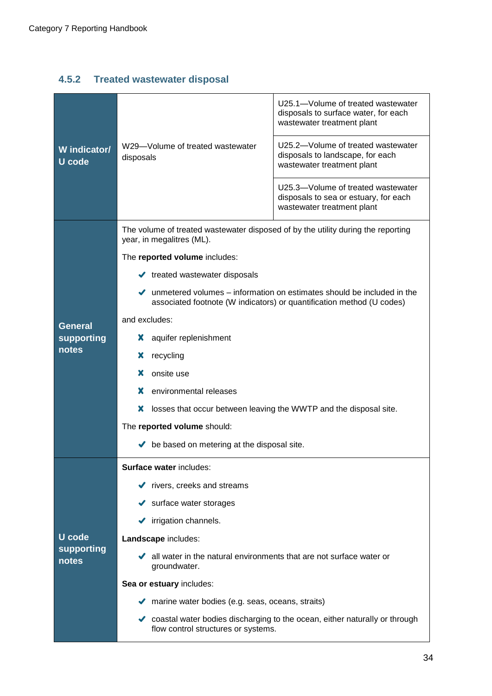### <span id="page-38-0"></span>**4.5.2 Treated wastewater disposal**

| W indicator/<br>U code | W29-Volume of treated wastewater<br>disposals                                                                                                                         | U25.1-Volume of treated wastewater<br>disposals to surface water, for each<br>wastewater treatment plant<br>U25.2-Volume of treated wastewater |  |
|------------------------|-----------------------------------------------------------------------------------------------------------------------------------------------------------------------|------------------------------------------------------------------------------------------------------------------------------------------------|--|
|                        |                                                                                                                                                                       | disposals to landscape, for each<br>wastewater treatment plant                                                                                 |  |
|                        |                                                                                                                                                                       | U25.3-Volume of treated wastewater<br>disposals to sea or estuary, for each<br>wastewater treatment plant                                      |  |
|                        | The volume of treated wastewater disposed of by the utility during the reporting<br>year, in megalitres (ML).                                                         |                                                                                                                                                |  |
|                        | The reported volume includes:                                                                                                                                         |                                                                                                                                                |  |
|                        | $\blacktriangleright$ treated wastewater disposals                                                                                                                    |                                                                                                                                                |  |
|                        | $\blacktriangleright$ unmetered volumes – information on estimates should be included in the<br>associated footnote (W indicators) or quantification method (U codes) |                                                                                                                                                |  |
| <b>General</b>         | and excludes:                                                                                                                                                         |                                                                                                                                                |  |
| supporting             | aquifer replenishment<br>Х                                                                                                                                            |                                                                                                                                                |  |
| notes                  | recycling<br>х                                                                                                                                                        |                                                                                                                                                |  |
|                        | onsite use<br>x                                                                                                                                                       |                                                                                                                                                |  |
|                        | x<br>environmental releases                                                                                                                                           |                                                                                                                                                |  |
|                        | x<br>losses that occur between leaving the WWTP and the disposal site.                                                                                                |                                                                                                                                                |  |
|                        | The reported volume should:                                                                                                                                           |                                                                                                                                                |  |
|                        | be based on metering at the disposal site.                                                                                                                            |                                                                                                                                                |  |
|                        | Surface water includes:                                                                                                                                               |                                                                                                                                                |  |
|                        | $\blacktriangleright$ rivers, creeks and streams                                                                                                                      |                                                                                                                                                |  |
|                        | $\blacktriangleright$ surface water storages                                                                                                                          |                                                                                                                                                |  |
|                        | irrigation channels.<br>✔                                                                                                                                             |                                                                                                                                                |  |
| U code                 | Landscape includes:                                                                                                                                                   |                                                                                                                                                |  |
| supporting<br>notes    | $\blacktriangleright$ all water in the natural environments that are not surface water or<br>groundwater.                                                             |                                                                                                                                                |  |
|                        | Sea or estuary includes:                                                                                                                                              |                                                                                                                                                |  |
|                        | $\blacktriangleright$ marine water bodies (e.g. seas, oceans, straits)                                                                                                |                                                                                                                                                |  |
|                        | coastal water bodies discharging to the ocean, either naturally or through<br>$\checkmark$<br>flow control structures or systems.                                     |                                                                                                                                                |  |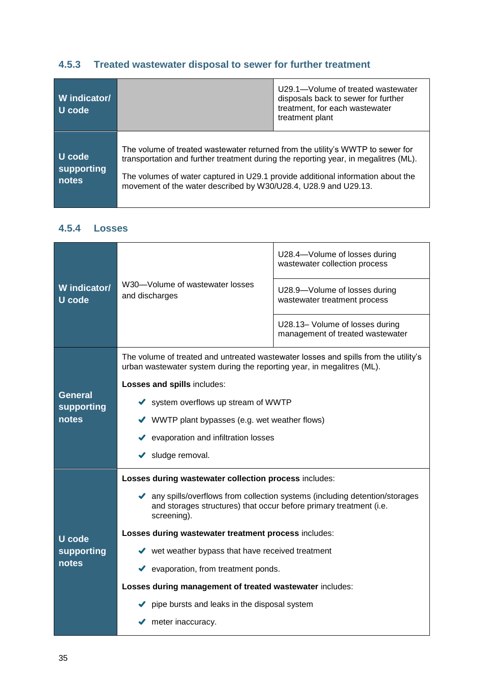### <span id="page-39-0"></span>**4.5.3 Treated wastewater disposal to sewer for further treatment**

| W indicator/<br>U code        |                                                                                                                                                                                                                                                                                                                             | U29.1—Volume of treated wastewater<br>disposals back to sewer for further<br>treatment, for each wastewater<br>treatment plant |
|-------------------------------|-----------------------------------------------------------------------------------------------------------------------------------------------------------------------------------------------------------------------------------------------------------------------------------------------------------------------------|--------------------------------------------------------------------------------------------------------------------------------|
| U code<br>supporting<br>notes | The volume of treated wastewater returned from the utility's WWTP to sewer for<br>transportation and further treatment during the reporting year, in megalitres (ML).<br>The volumes of water captured in U29.1 provide additional information about the<br>movement of the water described by W30/U28.4, U28.9 and U29.13. |                                                                                                                                |

### <span id="page-39-1"></span>**4.5.4 Losses**

| W indicator/<br><b>U</b> code |                                                                                                                                                                   | U28.4-Volume of losses during<br>wastewater collection process      |  |  |  |  |  |
|-------------------------------|-------------------------------------------------------------------------------------------------------------------------------------------------------------------|---------------------------------------------------------------------|--|--|--|--|--|
|                               | W30-Volume of wastewater losses<br>and discharges                                                                                                                 | U28.9-Volume of losses during<br>wastewater treatment process       |  |  |  |  |  |
|                               |                                                                                                                                                                   | U28.13- Volume of losses during<br>management of treated wastewater |  |  |  |  |  |
|                               | The volume of treated and untreated wastewater losses and spills from the utility's<br>urban wastewater system during the reporting year, in megalitres (ML).     |                                                                     |  |  |  |  |  |
|                               | Losses and spills includes:                                                                                                                                       |                                                                     |  |  |  |  |  |
| <b>General</b>                | ◆ system overflows up stream of WWTP                                                                                                                              |                                                                     |  |  |  |  |  |
| supporting<br>notes           | $\blacktriangleright$ WWTP plant bypasses (e.g. wet weather flows)                                                                                                |                                                                     |  |  |  |  |  |
|                               | evaporation and infiltration losses                                                                                                                               |                                                                     |  |  |  |  |  |
|                               | Sludge removal.                                                                                                                                                   |                                                                     |  |  |  |  |  |
|                               | Losses during wastewater collection process includes:                                                                                                             |                                                                     |  |  |  |  |  |
|                               | A any spills/overflows from collection systems (including detention/storages<br>and storages structures) that occur before primary treatment (i.e.<br>screening). |                                                                     |  |  |  |  |  |
| U code                        | Losses during wastewater treatment process includes:                                                                                                              |                                                                     |  |  |  |  |  |
| supporting                    | $\blacktriangleright$ wet weather bypass that have received treatment                                                                                             |                                                                     |  |  |  |  |  |
| notes                         | ◆ evaporation, from treatment ponds.                                                                                                                              |                                                                     |  |  |  |  |  |
|                               | Losses during management of treated wastewater includes:                                                                                                          |                                                                     |  |  |  |  |  |
|                               | pipe bursts and leaks in the disposal system                                                                                                                      |                                                                     |  |  |  |  |  |
|                               | $\blacktriangleright$ meter inaccuracy.                                                                                                                           |                                                                     |  |  |  |  |  |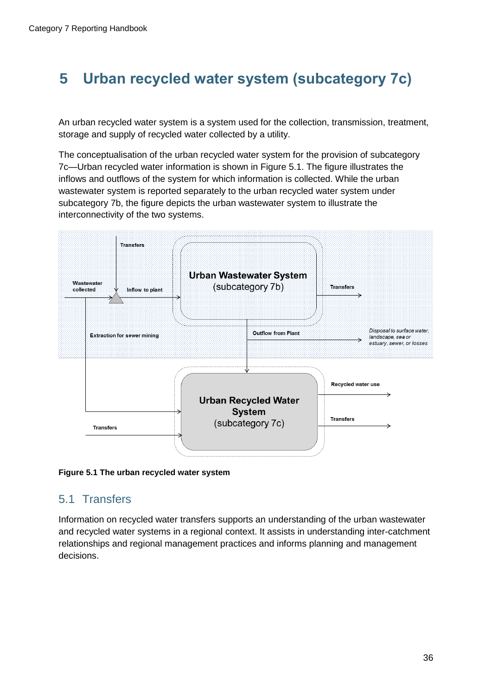# <span id="page-40-0"></span>**5 Urban recycled water system (subcategory 7c)**

An urban recycled water system is a system used for the collection, transmission, treatment, storage and supply of recycled water collected by a utility.

The conceptualisation of the urban recycled water system for the provision of subcategory 7c—Urban recycled water information is shown in Figure 5.1. The figure illustrates the inflows and outflows of the system for which information is collected. While the urban wastewater system is reported separately to the urban recycled water system under subcategory 7b, the figure depicts the urban wastewater system to illustrate the interconnectivity of the two systems.



**Figure 5.1 The urban recycled water system**

### <span id="page-40-1"></span>5.1 Transfers

Information on recycled water transfers supports an understanding of the urban wastewater and recycled water systems in a regional context. It assists in understanding inter-catchment relationships and regional management practices and informs planning and management decisions.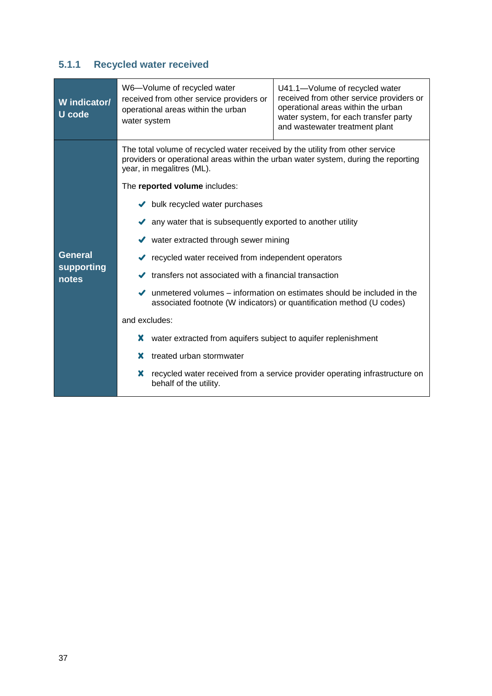### <span id="page-41-0"></span>**5.1.1 Recycled water received**

| W indicator/<br>U code                | W6-Volume of recycled water<br>U41.1-Volume of recycled water<br>received from other service providers or<br>received from other service providers or<br>operational areas within the urban<br>operational areas within the urban<br>water system, for each transfer party<br>water system<br>and wastewater treatment plant                                                                                                                                                                                                                                                                                                                                                                                                                                                                                                                                                |
|---------------------------------------|-----------------------------------------------------------------------------------------------------------------------------------------------------------------------------------------------------------------------------------------------------------------------------------------------------------------------------------------------------------------------------------------------------------------------------------------------------------------------------------------------------------------------------------------------------------------------------------------------------------------------------------------------------------------------------------------------------------------------------------------------------------------------------------------------------------------------------------------------------------------------------|
| <b>General</b><br>supporting<br>notes | The total volume of recycled water received by the utility from other service<br>providers or operational areas within the urban water system, during the reporting<br>year, in megalitres (ML).<br>The reported volume includes:<br>bulk recycled water purchases<br>✔<br>any water that is subsequently exported to another utility<br>water extracted through sewer mining<br>✔<br>recycled water received from independent operators<br>transfers not associated with a financial transaction<br>✔<br>unmetered volumes – information on estimates should be included in the<br>✔<br>associated footnote (W indicators) or quantification method (U codes)<br>and excludes:<br>water extracted from aquifers subject to aquifer replenishment<br>x<br>treated urban stormwater<br>х<br>recycled water received from a service provider operating infrastructure on<br>x |
|                                       | behalf of the utility.                                                                                                                                                                                                                                                                                                                                                                                                                                                                                                                                                                                                                                                                                                                                                                                                                                                      |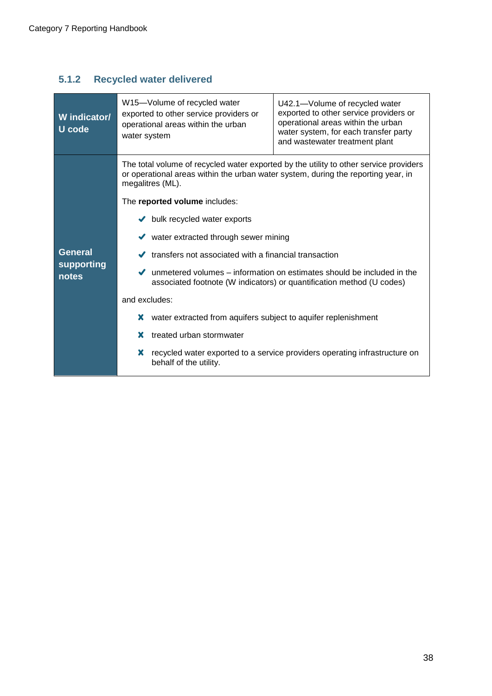### <span id="page-42-0"></span>**5.1.2 Recycled water delivered**

| The total volume of recycled water exported by the utility to other service providers<br>or operational areas within the urban water system, during the reporting year, in<br>megalitres (ML).<br>The reported volume includes:<br>$\blacktriangleright$ bulk recycled water exports<br>water extracted through sewer mining<br><b>General</b><br>transfers not associated with a financial transaction<br>supporting<br>unmetered volumes – information on estimates should be included in the<br>notes<br>associated footnote (W indicators) or quantification method (U codes)<br>and excludes:<br>water extracted from aquifers subject to aquifer replenishment<br>x<br>x<br>treated urban stormwater | W indicator/<br><b>U</b> code | W15-Volume of recycled water<br>exported to other service providers or<br>operational areas within the urban<br>water system | U42.1-Volume of recycled water<br>exported to other service providers or<br>operational areas within the urban<br>water system, for each transfer party<br>and wastewater treatment plant |
|------------------------------------------------------------------------------------------------------------------------------------------------------------------------------------------------------------------------------------------------------------------------------------------------------------------------------------------------------------------------------------------------------------------------------------------------------------------------------------------------------------------------------------------------------------------------------------------------------------------------------------------------------------------------------------------------------------|-------------------------------|------------------------------------------------------------------------------------------------------------------------------|-------------------------------------------------------------------------------------------------------------------------------------------------------------------------------------------|
| recycled water exported to a service providers operating infrastructure on<br>behalf of the utility.                                                                                                                                                                                                                                                                                                                                                                                                                                                                                                                                                                                                       |                               | X                                                                                                                            |                                                                                                                                                                                           |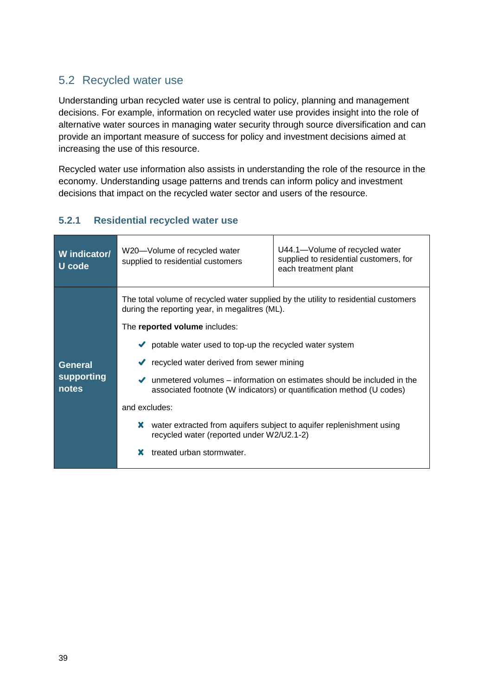### <span id="page-43-0"></span>5.2 Recycled water use

Understanding urban recycled water use is central to policy, planning and management decisions. For example, information on recycled water use provides insight into the role of alternative water sources in managing water security through source diversification and can provide an important measure of success for policy and investment decisions aimed at increasing the use of this resource.

Recycled water use information also assists in understanding the role of the resource in the economy. Understanding usage patterns and trends can inform policy and investment decisions that impact on the recycled water sector and users of the resource.

### <span id="page-43-1"></span>**5.2.1 Residential recycled water use**

| W indicator/<br>U code                | W20-Volume of recycled water<br>supplied to residential customers                                                                                                                                                                                                                                                                                                                                                                 | U44.1-Volume of recycled water<br>supplied to residential customers, for<br>each treatment plant                                                                                                                        |
|---------------------------------------|-----------------------------------------------------------------------------------------------------------------------------------------------------------------------------------------------------------------------------------------------------------------------------------------------------------------------------------------------------------------------------------------------------------------------------------|-------------------------------------------------------------------------------------------------------------------------------------------------------------------------------------------------------------------------|
| <b>General</b><br>supporting<br>notes | The total volume of recycled water supplied by the utility to residential customers<br>during the reporting year, in megalitres (ML).<br>The reported volume includes:<br>$\bullet$ potable water used to top-up the recycled water system<br>$\blacktriangleright$ recycled water derived from sewer mining<br>$\checkmark$<br>and excludes:<br>x<br>recycled water (reported under W2/U2.1-2)<br>treated urban stormwater.<br>х | unmetered volumes – information on estimates should be included in the<br>associated footnote (W indicators) or quantification method (U codes)<br>water extracted from aquifers subject to aquifer replenishment using |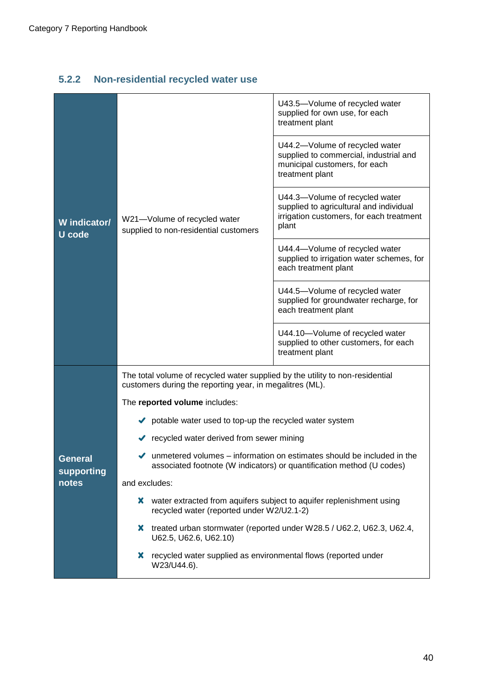### <span id="page-44-0"></span>**5.2.2 Non-residential recycled water use**

|                        |                                                                                                                                                                       | U43.5-Volume of recycled water<br>supplied for own use, for each<br>treatment plant                                            |  |  |  |  |  |
|------------------------|-----------------------------------------------------------------------------------------------------------------------------------------------------------------------|--------------------------------------------------------------------------------------------------------------------------------|--|--|--|--|--|
|                        |                                                                                                                                                                       | U44.2-Volume of recycled water<br>supplied to commercial, industrial and<br>municipal customers, for each<br>treatment plant   |  |  |  |  |  |
| W indicator/<br>U code | W21-Volume of recycled water<br>supplied to non-residential customers                                                                                                 | U44.3-Volume of recycled water<br>supplied to agricultural and individual<br>irrigation customers, for each treatment<br>plant |  |  |  |  |  |
|                        |                                                                                                                                                                       | U44.4-Volume of recycled water<br>supplied to irrigation water schemes, for<br>each treatment plant                            |  |  |  |  |  |
|                        |                                                                                                                                                                       | U44.5-Volume of recycled water<br>supplied for groundwater recharge, for<br>each treatment plant                               |  |  |  |  |  |
|                        |                                                                                                                                                                       | U44.10-Volume of recycled water<br>supplied to other customers, for each<br>treatment plant                                    |  |  |  |  |  |
|                        | The total volume of recycled water supplied by the utility to non-residential<br>customers during the reporting year, in megalitres (ML).                             |                                                                                                                                |  |  |  |  |  |
|                        | The reported volume includes:                                                                                                                                         |                                                                                                                                |  |  |  |  |  |
|                        | potable water used to top-up the recycled water system                                                                                                                |                                                                                                                                |  |  |  |  |  |
|                        | ◆ recycled water derived from sewer mining                                                                                                                            |                                                                                                                                |  |  |  |  |  |
| General<br>supporting  | $\blacktriangleright$ unmetered volumes – information on estimates should be included in the<br>associated footnote (W indicators) or quantification method (U codes) |                                                                                                                                |  |  |  |  |  |
| notes                  | and excludes:                                                                                                                                                         |                                                                                                                                |  |  |  |  |  |
|                        | x.<br>recycled water (reported under W2/U2.1-2)                                                                                                                       | water extracted from aquifers subject to aquifer replenishment using                                                           |  |  |  |  |  |
|                        | x.<br>U62.5, U62.6, U62.10)                                                                                                                                           | treated urban stormwater (reported under W28.5 / U62.2, U62.3, U62.4,                                                          |  |  |  |  |  |
|                        | recycled water supplied as environmental flows (reported under<br>X<br>W23/U44.6).                                                                                    |                                                                                                                                |  |  |  |  |  |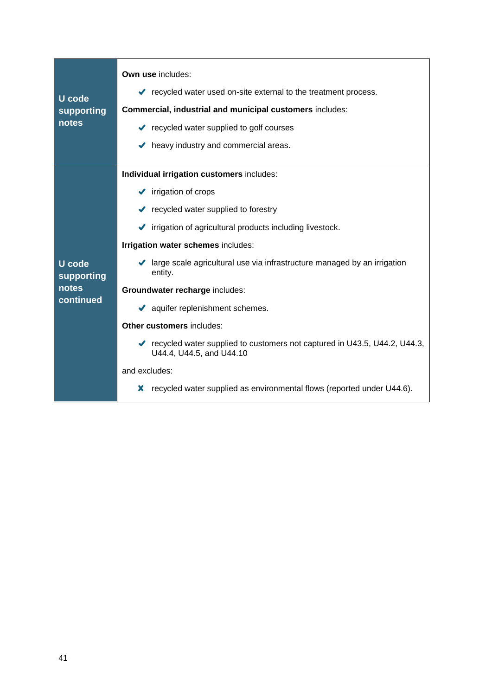| U code<br>supporting<br>notes | Own use includes:<br>recycled water used on-site external to the treatment process.<br>Commercial, industrial and municipal customers includes:<br>courses contract recycled water supplied to golf courses<br>$\blacktriangleright$ heavy industry and commercial areas. |  |  |  |  |  |
|-------------------------------|---------------------------------------------------------------------------------------------------------------------------------------------------------------------------------------------------------------------------------------------------------------------------|--|--|--|--|--|
|                               | Individual irrigation customers includes:<br>$\blacktriangleright$ irrigation of crops                                                                                                                                                                                    |  |  |  |  |  |
|                               | contract vector supplied to forestry                                                                                                                                                                                                                                      |  |  |  |  |  |
|                               | ✔ irrigation of agricultural products including livestock.                                                                                                                                                                                                                |  |  |  |  |  |
|                               | Irrigation water schemes includes:                                                                                                                                                                                                                                        |  |  |  |  |  |
| <b>U</b> code<br>supporting   | ◆ large scale agricultural use via infrastructure managed by an irrigation<br>entity.                                                                                                                                                                                     |  |  |  |  |  |
| notes                         | Groundwater recharge includes:                                                                                                                                                                                                                                            |  |  |  |  |  |
| continued                     | aquifer replenishment schemes.                                                                                                                                                                                                                                            |  |  |  |  |  |
|                               | <b>Other customers includes:</b>                                                                                                                                                                                                                                          |  |  |  |  |  |
|                               | ► recycled water supplied to customers not captured in U43.5, U44.2, U44.3,<br>U44.4, U44.5, and U44.10                                                                                                                                                                   |  |  |  |  |  |
|                               | and excludes:                                                                                                                                                                                                                                                             |  |  |  |  |  |
|                               | recycled water supplied as environmental flows (reported under U44.6).<br>х                                                                                                                                                                                               |  |  |  |  |  |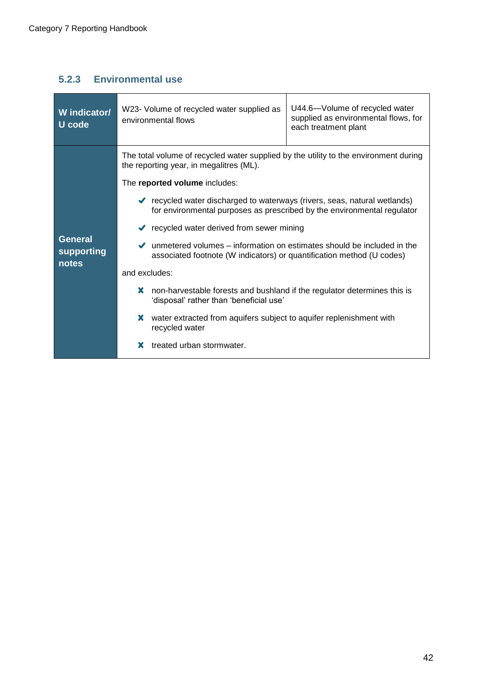### <span id="page-46-0"></span>**5.2.3 Environmental use**

| W indicator/<br>U code                | U44.6-Volume of recycled water<br>W23- Volume of recycled water supplied as<br>supplied as environmental flows, for<br>environmental flows<br>each treatment plant                                                                                                                                                                                                                                                                                                                                                                                                                                                                                                                         |
|---------------------------------------|--------------------------------------------------------------------------------------------------------------------------------------------------------------------------------------------------------------------------------------------------------------------------------------------------------------------------------------------------------------------------------------------------------------------------------------------------------------------------------------------------------------------------------------------------------------------------------------------------------------------------------------------------------------------------------------------|
| <b>General</b><br>supporting<br>notes | The total volume of recycled water supplied by the utility to the environment during<br>the reporting year, in megalitres (ML).<br>The reported volume includes:<br>◆ recycled water discharged to waterways (rivers, seas, natural wetlands)<br>for environmental purposes as prescribed by the environmental regulator<br>$\blacktriangleright$ recycled water derived from sewer mining<br>unmetered volumes – information on estimates should be included in the<br>associated footnote (W indicators) or quantification method (U codes)<br>and excludes:<br>non-harvestable forests and bushland if the regulator determines this is<br>x<br>'disposal' rather than 'beneficial use' |
|                                       | water extracted from aquifers subject to aquifer replenishment with<br>x<br>recycled water<br>treated urban stormwater.<br>x                                                                                                                                                                                                                                                                                                                                                                                                                                                                                                                                                               |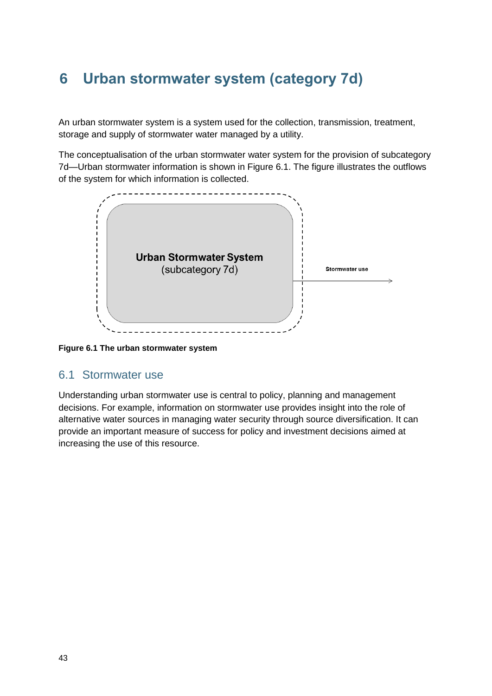# <span id="page-47-0"></span>**6 Urban stormwater system (category 7d)**

An urban stormwater system is a system used for the collection, transmission, treatment, storage and supply of stormwater water managed by a utility.

The conceptualisation of the urban stormwater water system for the provision of subcategory 7d—Urban stormwater information is shown in Figure 6.1. The figure illustrates the outflows of the system for which information is collected.



**Figure 6.1 The urban stormwater system**

#### <span id="page-47-1"></span>6.1 Stormwater use

Understanding urban stormwater use is central to policy, planning and management decisions. For example, information on stormwater use provides insight into the role of alternative water sources in managing water security through source diversification. It can provide an important measure of success for policy and investment decisions aimed at increasing the use of this resource.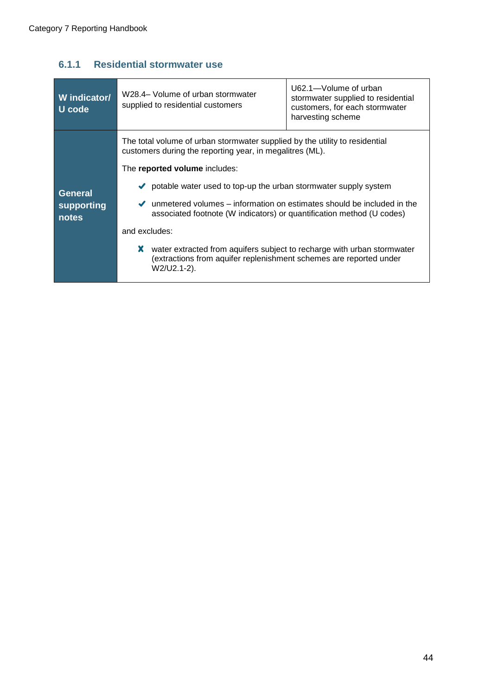### <span id="page-48-0"></span>**6.1.1 Residential stormwater use**

| W indicator/<br>U code | U62.1-Volume of urban<br>W28.4– Volume of urban stormwater<br>stormwater supplied to residential<br>supplied to residential customers<br>customers, for each stormwater<br>harvesting scheme                                                                      |  |  |  |  |
|------------------------|-------------------------------------------------------------------------------------------------------------------------------------------------------------------------------------------------------------------------------------------------------------------|--|--|--|--|
| <b>General</b>         | The total volume of urban stormwater supplied by the utility to residential<br>customers during the reporting year, in megalitres (ML).<br>The reported volume includes:<br>$\blacktriangleright$ potable water used to top-up the urban stormwater supply system |  |  |  |  |
| supporting<br>notes    | unmetered volumes – information on estimates should be included in the<br>✔<br>associated footnote (W indicators) or quantification method (U codes)<br>and excludes:                                                                                             |  |  |  |  |
|                        | water extracted from aquifers subject to recharge with urban stormwater<br>x.<br>(extractions from aquifer replenishment schemes are reported under<br>W2/U2.1-2).                                                                                                |  |  |  |  |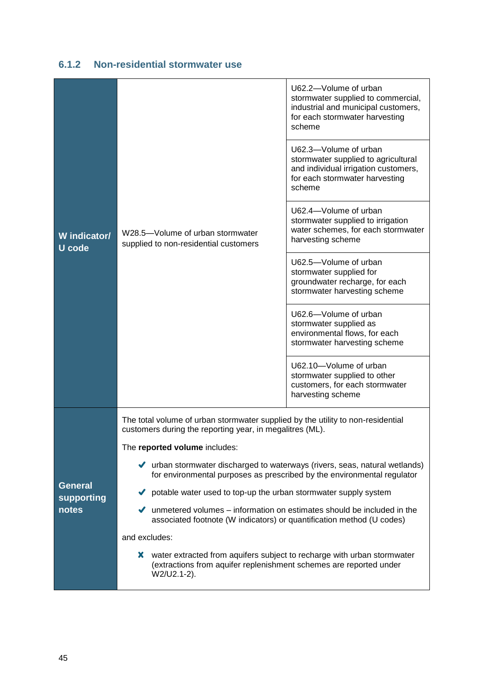| W indicator/<br><b>U</b> code | W28.5-Volume of urban stormwater<br>supplied to non-residential customers                                                                                             | U62.2-Volume of urban<br>stormwater supplied to commercial,<br>industrial and municipal customers,<br>for each stormwater harvesting<br>scheme<br>U62.3-Volume of urban<br>stormwater supplied to agricultural<br>and individual irrigation customers,<br>for each stormwater harvesting<br>scheme<br>U62.4-Volume of urban<br>stormwater supplied to irrigation<br>water schemes, for each stormwater<br>harvesting scheme |  |  |  |  |  |
|-------------------------------|-----------------------------------------------------------------------------------------------------------------------------------------------------------------------|-----------------------------------------------------------------------------------------------------------------------------------------------------------------------------------------------------------------------------------------------------------------------------------------------------------------------------------------------------------------------------------------------------------------------------|--|--|--|--|--|
|                               |                                                                                                                                                                       | U62.5-Volume of urban<br>stormwater supplied for<br>groundwater recharge, for each<br>stormwater harvesting scheme                                                                                                                                                                                                                                                                                                          |  |  |  |  |  |
|                               |                                                                                                                                                                       | U62.6-Volume of urban<br>stormwater supplied as<br>environmental flows, for each<br>stormwater harvesting scheme                                                                                                                                                                                                                                                                                                            |  |  |  |  |  |
|                               |                                                                                                                                                                       | U62.10-Volume of urban<br>stormwater supplied to other<br>customers, for each stormwater<br>harvesting scheme                                                                                                                                                                                                                                                                                                               |  |  |  |  |  |
|                               | The total volume of urban stormwater supplied by the utility to non-residential<br>customers during the reporting year, in megalitres (ML).                           |                                                                                                                                                                                                                                                                                                                                                                                                                             |  |  |  |  |  |
|                               | The reported volume includes:                                                                                                                                         |                                                                                                                                                                                                                                                                                                                                                                                                                             |  |  |  |  |  |
|                               | ◆ urban stormwater discharged to waterways (rivers, seas, natural wetlands)<br>for environmental purposes as prescribed by the environmental regulator                |                                                                                                                                                                                                                                                                                                                                                                                                                             |  |  |  |  |  |
| <b>General</b><br>supporting  | potable water used to top-up the urban stormwater supply system                                                                                                       |                                                                                                                                                                                                                                                                                                                                                                                                                             |  |  |  |  |  |
| notes                         | $\blacktriangleright$ unmetered volumes – information on estimates should be included in the<br>associated footnote (W indicators) or quantification method (U codes) |                                                                                                                                                                                                                                                                                                                                                                                                                             |  |  |  |  |  |
|                               | and excludes:                                                                                                                                                         |                                                                                                                                                                                                                                                                                                                                                                                                                             |  |  |  |  |  |
|                               | X water extracted from aquifers subject to recharge with urban stormwater<br>(extractions from aquifer replenishment schemes are reported under<br>W2/U2.1-2).        |                                                                                                                                                                                                                                                                                                                                                                                                                             |  |  |  |  |  |

### <span id="page-49-0"></span>**6.1.2 Non-residential stormwater use**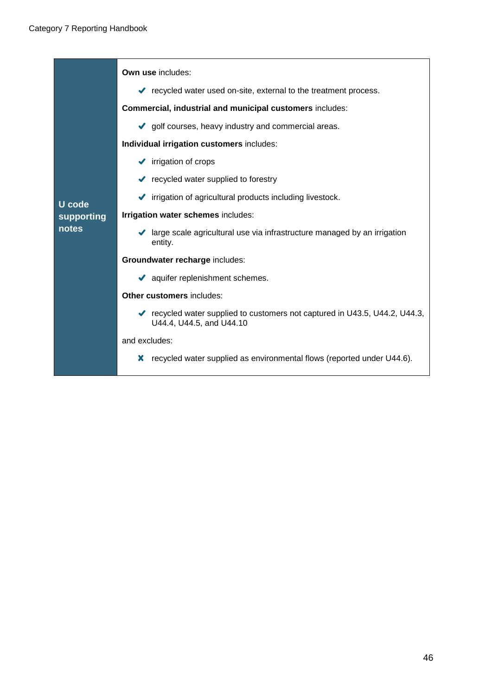|               | <b>Own use includes:</b>                                                                                |  |  |  |  |  |
|---------------|---------------------------------------------------------------------------------------------------------|--|--|--|--|--|
|               | ◆ recycled water used on-site, external to the treatment process.                                       |  |  |  |  |  |
|               | Commercial, industrial and municipal customers includes:                                                |  |  |  |  |  |
|               | golf courses, heavy industry and commercial areas.                                                      |  |  |  |  |  |
|               | Individual irrigation customers includes:                                                               |  |  |  |  |  |
|               | $\blacktriangleright$ irrigation of crops                                                               |  |  |  |  |  |
|               | $\blacktriangleright$ recycled water supplied to forestry                                               |  |  |  |  |  |
| <b>U</b> code | irrigation of agricultural products including livestock.                                                |  |  |  |  |  |
| supporting    | Irrigation water schemes includes:                                                                      |  |  |  |  |  |
| notes         | large scale agricultural use via infrastructure managed by an irrigation<br>✔<br>entity.                |  |  |  |  |  |
|               | Groundwater recharge includes:                                                                          |  |  |  |  |  |
|               | aquifer replenishment schemes.                                                                          |  |  |  |  |  |
|               | <b>Other customers includes:</b>                                                                        |  |  |  |  |  |
|               | ► recycled water supplied to customers not captured in U43.5, U44.2, U44.3,<br>U44.4, U44.5, and U44.10 |  |  |  |  |  |
|               | and excludes:                                                                                           |  |  |  |  |  |
|               | recycled water supplied as environmental flows (reported under U44.6).<br>x                             |  |  |  |  |  |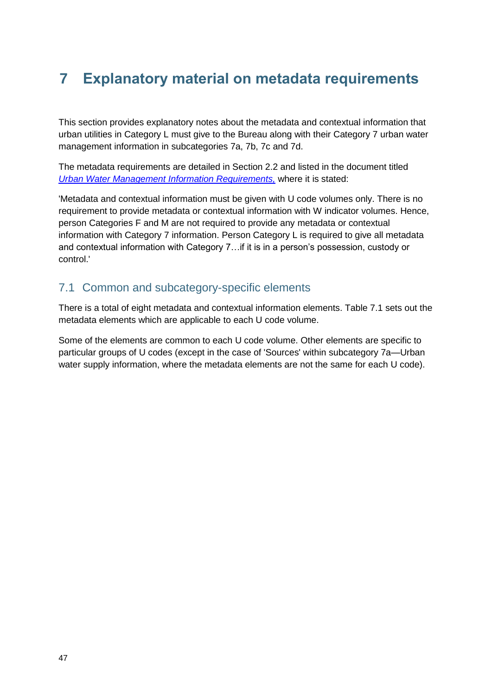# <span id="page-51-0"></span>**7 Explanatory material on metadata requirements**

This section provides explanatory notes about the metadata and contextual information that urban utilities in Category L must give to the Bureau along with their Category 7 urban water management information in subcategories 7a, 7b, 7c and 7d.

The metadata requirements are detailed in Section 2.2 and listed in the document titled *[Urban Water Management Information Requirements,](http://www.bom.gov.au/water/regulations/schedules/urbanWater.shtml)* where it is stated:

'Metadata and contextual information must be given with U code volumes only. There is no requirement to provide metadata or contextual information with W indicator volumes. Hence, person Categories F and M are not required to provide any metadata or contextual information with Category 7 information. Person Category L is required to give all metadata and contextual information with Category 7…if it is in a person's possession, custody or control.'

### <span id="page-51-1"></span>7.1 Common and subcategory-specific elements

There is a total of eight metadata and contextual information elements. Table 7.1 sets out the metadata elements which are applicable to each U code volume.

Some of the elements are common to each U code volume. Other elements are specific to particular groups of U codes (except in the case of 'Sources' within subcategory 7a—Urban water supply information, where the metadata elements are not the same for each U code).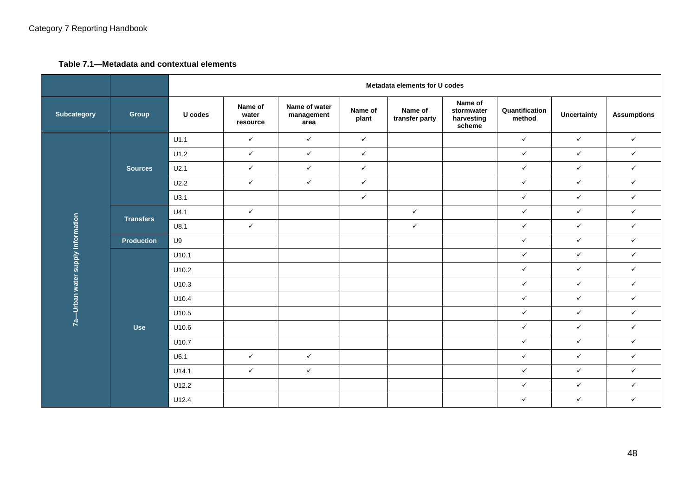#### **Table 7.1—Metadata and contextual elements**

|                                 |                   |         | Metadata elements for U codes |                                     |                  |                           |                                               |                          |                    |                    |
|---------------------------------|-------------------|---------|-------------------------------|-------------------------------------|------------------|---------------------------|-----------------------------------------------|--------------------------|--------------------|--------------------|
| Subcategory                     | Group             | U codes | Name of<br>water<br>resource  | Name of water<br>management<br>area | Name of<br>plant | Name of<br>transfer party | Name of<br>stormwater<br>harvesting<br>scheme | Quantification<br>method | <b>Uncertainty</b> | <b>Assumptions</b> |
|                                 |                   | U1.1    | $\checkmark$                  | $\checkmark$                        | $\checkmark$     |                           |                                               | $\checkmark$             | $\checkmark$       | $\checkmark$       |
|                                 |                   | U1.2    | $\checkmark$                  | $\checkmark$                        | $\checkmark$     |                           |                                               | $\checkmark$             | $\checkmark$       | $\checkmark$       |
|                                 | Sources           | U2.1    | $\checkmark$                  | $\checkmark$                        | $\checkmark$     |                           |                                               | $\checkmark$             | $\checkmark$       | $\checkmark$       |
|                                 |                   | U2.2    | $\checkmark$                  | $\checkmark$                        | $\checkmark$     |                           |                                               | $\checkmark$             | $\checkmark$       | $\checkmark$       |
|                                 |                   | U3.1    |                               |                                     | $\checkmark$     |                           |                                               | $\checkmark$             | $\checkmark$       | $\checkmark$       |
|                                 | <b>Transfers</b>  | U4.1    | $\checkmark$                  |                                     |                  | $\checkmark$              |                                               | $\checkmark$             | $\checkmark$       | $\checkmark$       |
|                                 |                   | U8.1    | $\checkmark$                  |                                     |                  | $\checkmark$              |                                               | $\checkmark$             | $\checkmark$       | $\checkmark$       |
| -Urban water supply information | <b>Production</b> | U9      |                               |                                     |                  |                           |                                               | $\checkmark$             | $\checkmark$       | $\checkmark$       |
|                                 |                   | U10.1   |                               |                                     |                  |                           |                                               | $\checkmark$             | $\checkmark$       | $\checkmark$       |
|                                 |                   | U10.2   |                               |                                     |                  |                           |                                               | $\checkmark$             | $\checkmark$       | $\checkmark$       |
|                                 |                   | U10.3   |                               |                                     |                  |                           |                                               | $\checkmark$             | $\checkmark$       | $\checkmark$       |
|                                 |                   | U10.4   |                               |                                     |                  |                           |                                               | $\checkmark$             | $\checkmark$       | $\checkmark$       |
|                                 |                   | U10.5   |                               |                                     |                  |                           |                                               | $\checkmark$             | $\checkmark$       | $\checkmark$       |
| $\frac{1}{q}$                   | <b>Use</b>        | U10.6   |                               |                                     |                  |                           |                                               | $\checkmark$             | $\checkmark$       | $\checkmark$       |
|                                 |                   | U10.7   |                               |                                     |                  |                           |                                               | $\checkmark$             | $\checkmark$       | $\checkmark$       |
|                                 |                   | U6.1    | $\checkmark$                  | $\checkmark$                        |                  |                           |                                               | $\checkmark$             | $\checkmark$       | $\checkmark$       |
|                                 |                   | U14.1   | $\checkmark$                  | $\checkmark$                        |                  |                           |                                               | $\checkmark$             | $\checkmark$       | $\checkmark$       |
|                                 |                   | U12.2   |                               |                                     |                  |                           |                                               | $\checkmark$             | $\checkmark$       | $\checkmark$       |
|                                 |                   | U12.4   |                               |                                     |                  |                           |                                               | $\checkmark$             | $\checkmark$       | $\checkmark$       |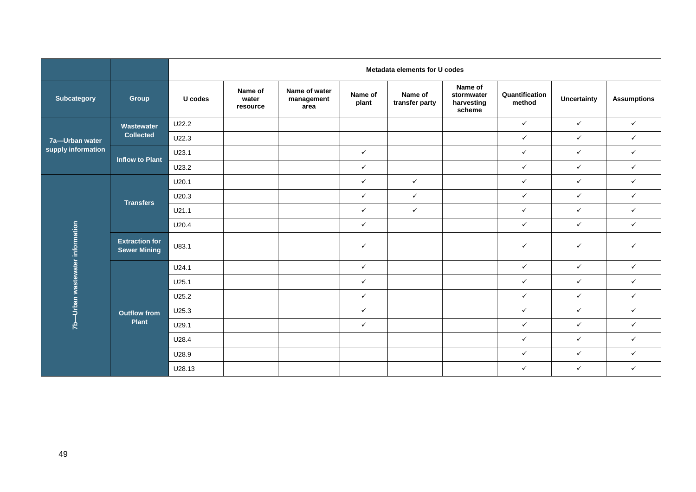|                               |                                              | Metadata elements for U codes |                              |                                     |                  |                           |                                               |                          |                    |                    |
|-------------------------------|----------------------------------------------|-------------------------------|------------------------------|-------------------------------------|------------------|---------------------------|-----------------------------------------------|--------------------------|--------------------|--------------------|
| <b>Subcategory</b>            | Group                                        | U codes                       | Name of<br>water<br>resource | Name of water<br>management<br>area | Name of<br>plant | Name of<br>transfer party | Name of<br>stormwater<br>harvesting<br>scheme | Quantification<br>method | <b>Uncertainty</b> | <b>Assumptions</b> |
|                               | Wastewater                                   | U22.2                         |                              |                                     |                  |                           |                                               | $\checkmark$             | $\checkmark$       | $\checkmark$       |
| 7a-Urban water                | <b>Collected</b>                             | U22.3                         |                              |                                     |                  |                           |                                               | $\checkmark$             | $\checkmark$       | $\checkmark$       |
| supply information            | <b>Inflow to Plant</b>                       | U23.1                         |                              |                                     | $\checkmark$     |                           |                                               | $\checkmark$             | $\checkmark$       | $\checkmark$       |
|                               |                                              | U23.2                         |                              |                                     | $\checkmark$     |                           |                                               | $\checkmark$             | $\checkmark$       | $\checkmark$       |
|                               |                                              | U20.1                         |                              |                                     | $\checkmark$     | $\checkmark$              |                                               | $\checkmark$             | $\checkmark$       | $\checkmark$       |
|                               | <b>Transfers</b>                             | U20.3                         |                              |                                     | $\checkmark$     | $\checkmark$              |                                               | $\checkmark$             | $\checkmark$       | $\checkmark$       |
|                               |                                              | U21.1                         |                              |                                     | $\checkmark$     | $\checkmark$              |                                               | $\checkmark$             | $\checkmark$       | $\checkmark$       |
|                               |                                              | U20.4                         |                              |                                     | $\checkmark$     |                           |                                               | $\checkmark$             | $\checkmark$       | ✓                  |
| -Urban wastewater information | <b>Extraction for</b><br><b>Sewer Mining</b> | U83.1                         |                              |                                     | $\checkmark$     |                           |                                               | $\checkmark$             | $\checkmark$       | $\checkmark$       |
|                               |                                              | U24.1                         |                              |                                     | $\checkmark$     |                           |                                               | $\checkmark$             | $\checkmark$       | $\checkmark$       |
|                               |                                              | U25.1                         |                              |                                     | $\checkmark$     |                           |                                               | $\checkmark$             | $\checkmark$       | $\checkmark$       |
|                               |                                              | U25.2                         |                              |                                     | $\checkmark$     |                           |                                               | $\checkmark$             | $\checkmark$       | $\checkmark$       |
|                               | <b>Outflow from</b>                          | U25.3                         |                              |                                     | $\checkmark$     |                           |                                               | $\checkmark$             | $\checkmark$       | $\checkmark$       |
| $\frac{1}{2}$                 | <b>Plant</b>                                 | U29.1                         |                              |                                     | $\checkmark$     |                           |                                               | $\checkmark$             | $\checkmark$       | $\checkmark$       |
|                               |                                              | U28.4                         |                              |                                     |                  |                           |                                               | $\checkmark$             | $\checkmark$       | $\checkmark$       |
|                               |                                              | U28.9                         |                              |                                     |                  |                           |                                               | $\checkmark$             | $\checkmark$       | $\checkmark$       |
|                               |                                              | U28.13                        |                              |                                     |                  |                           |                                               | $\checkmark$             | $\checkmark$       | $\checkmark$       |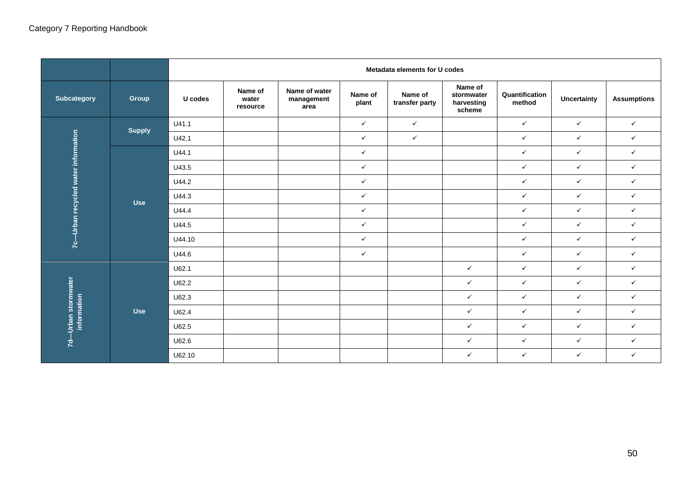|                                                    |               | Metadata elements for U codes |                              |                                     |                  |                           |                                               |                          |                    |                    |
|----------------------------------------------------|---------------|-------------------------------|------------------------------|-------------------------------------|------------------|---------------------------|-----------------------------------------------|--------------------------|--------------------|--------------------|
| Subcategory                                        | <b>Group</b>  | U codes                       | Name of<br>water<br>resource | Name of water<br>management<br>area | Name of<br>plant | Name of<br>transfer party | Name of<br>stormwater<br>harvesting<br>scheme | Quantification<br>method | <b>Uncertainty</b> | <b>Assumptions</b> |
| -Urban recycled water information<br>$\frac{6}{5}$ | <b>Supply</b> | U41.1                         |                              |                                     | $\checkmark$     | $\checkmark$              |                                               | $\checkmark$             | $\checkmark$       | $\checkmark$       |
|                                                    |               | U42.1                         |                              |                                     | $\checkmark$     | $\checkmark$              |                                               | $\checkmark$             | $\checkmark$       | $\checkmark$       |
|                                                    | <b>Use</b>    | U44.1                         |                              |                                     | $\checkmark$     |                           |                                               | $\checkmark$             | $\checkmark$       | $\checkmark$       |
|                                                    |               | U43.5                         |                              |                                     | $\checkmark$     |                           |                                               | $\checkmark$             | $\checkmark$       | $\checkmark$       |
|                                                    |               | U44.2                         |                              |                                     | $\checkmark$     |                           |                                               | $\checkmark$             | $\checkmark$       | $\checkmark$       |
|                                                    |               | U44.3                         |                              |                                     | $\checkmark$     |                           |                                               | $\checkmark$             | $\checkmark$       | $\checkmark$       |
|                                                    |               | U44.4                         |                              |                                     | $\checkmark$     |                           |                                               | $\checkmark$             | $\checkmark$       | $\checkmark$       |
|                                                    |               | U44.5                         |                              |                                     | $\checkmark$     |                           |                                               | $\checkmark$             | $\checkmark$       | $\checkmark$       |
|                                                    |               | U44.10                        |                              |                                     | $\checkmark$     |                           |                                               | $\checkmark$             | $\checkmark$       | $\checkmark$       |
|                                                    |               | U44.6                         |                              |                                     | $\checkmark$     |                           |                                               | $\checkmark$             | $\checkmark$       | $\checkmark$       |
| Urban stormwater<br>information<br>Ŕ               | <b>Use</b>    | U62.1                         |                              |                                     |                  |                           | $\checkmark$                                  | $\checkmark$             | $\checkmark$       | $\checkmark$       |
|                                                    |               | U62.2                         |                              |                                     |                  |                           | $\checkmark$                                  | $\checkmark$             | $\checkmark$       | $\checkmark$       |
|                                                    |               | U62.3                         |                              |                                     |                  |                           | $\checkmark$                                  | $\checkmark$             | $\checkmark$       | $\checkmark$       |
|                                                    |               | U62.4                         |                              |                                     |                  |                           | $\checkmark$                                  | $\checkmark$             | $\checkmark$       | $\checkmark$       |
|                                                    |               | U62.5                         |                              |                                     |                  |                           | $\checkmark$                                  | $\checkmark$             | $\checkmark$       | $\checkmark$       |
|                                                    |               | U62.6                         |                              |                                     |                  |                           | $\checkmark$                                  | $\checkmark$             | $\checkmark$       | $\checkmark$       |
|                                                    |               | U62.10                        |                              |                                     |                  |                           | $\checkmark$                                  | $\checkmark$             | $\checkmark$       | $\checkmark$       |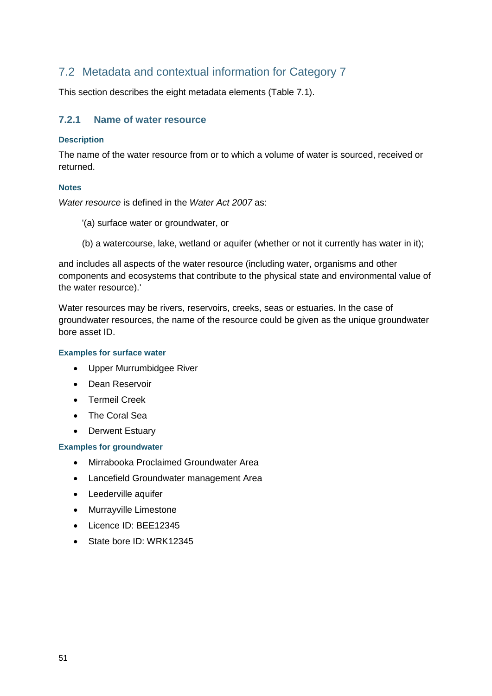### <span id="page-55-0"></span>7.2 Metadata and contextual information for Category 7

This section describes the eight metadata elements (Table 7.1).

#### <span id="page-55-1"></span>**7.2.1 Name of water resource**

#### **Description**

The name of the water resource from or to which a volume of water is sourced, received or returned.

#### **Notes**

*Water resource* is defined in the *Water Act 2007* as:

- '(a) surface water or groundwater, or
- (b) a watercourse, lake, wetland or aquifer (whether or not it currently has water in it);

and includes all aspects of the water resource (including water, organisms and other components and ecosystems that contribute to the physical state and environmental value of the water resource).'

Water resources may be rivers, reservoirs, creeks, seas or estuaries. In the case of groundwater resources, the name of the resource could be given as the unique groundwater bore asset ID.

#### **Examples for surface water**

- Upper Murrumbidgee River
- Dean Reservoir
- Termeil Creek
- The Coral Sea
- Derwent Estuary

#### **Examples for groundwater**

- Mirrabooka Proclaimed Groundwater Area
- Lancefield Groundwater management Area
- Leederville aquifer
- Murrayville Limestone
- Licence ID: BEE12345
- State bore ID: WRK12345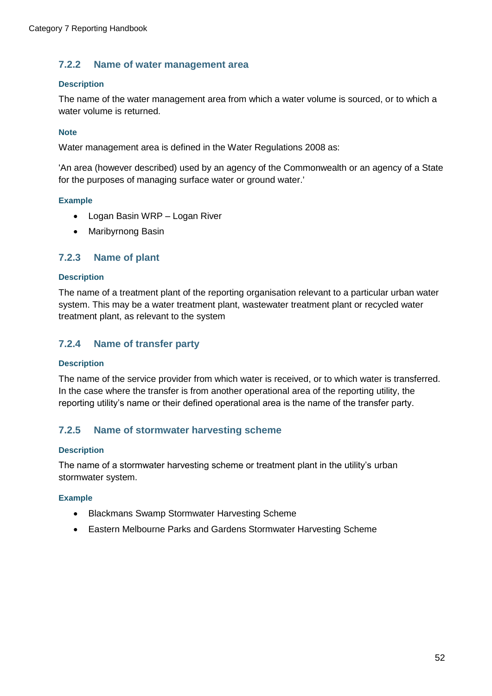#### <span id="page-56-0"></span>**7.2.2 Name of water management area**

#### **Description**

The name of the water management area from which a water volume is sourced, or to which a water volume is returned.

#### **Note**

Water management area is defined in the Water Regulations 2008 as:

'An area (however described) used by an agency of the Commonwealth or an agency of a State for the purposes of managing surface water or ground water.'

#### **Example**

- Logan Basin WRP Logan River
- Maribyrnong Basin

#### <span id="page-56-1"></span>**7.2.3 Name of plant**

#### **Description**

The name of a treatment plant of the reporting organisation relevant to a particular urban water system. This may be a water treatment plant, wastewater treatment plant or recycled water treatment plant, as relevant to the system

### <span id="page-56-2"></span>**7.2.4 Name of transfer party**

#### **Description**

The name of the service provider from which water is received, or to which water is transferred. In the case where the transfer is from another operational area of the reporting utility, the reporting utility's name or their defined operational area is the name of the transfer party.

### <span id="page-56-3"></span>**7.2.5 Name of stormwater harvesting scheme**

#### **Description**

The name of a stormwater harvesting scheme or treatment plant in the utility's urban stormwater system.

#### **Example**

- Blackmans Swamp Stormwater Harvesting Scheme
- Eastern Melbourne Parks and Gardens Stormwater Harvesting Scheme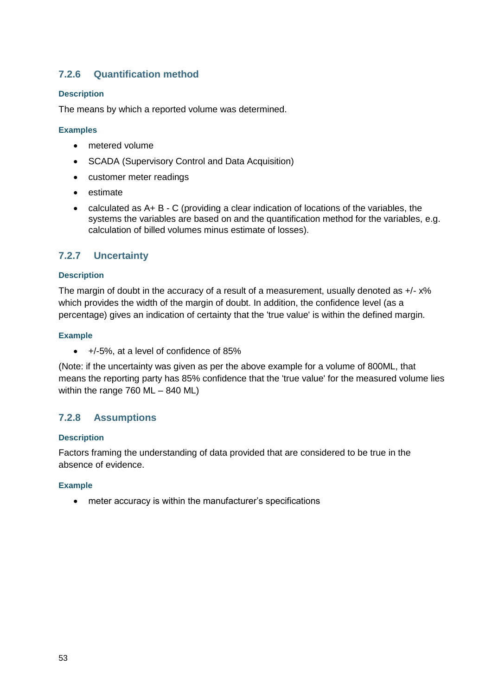### <span id="page-57-0"></span>**7.2.6 Quantification method**

#### **Description**

The means by which a reported volume was determined.

#### **Examples**

- metered volume
- SCADA (Supervisory Control and Data Acquisition)
- customer meter readings
- estimate
- calculated as A+ B C (providing a clear indication of locations of the variables, the systems the variables are based on and the quantification method for the variables, e.g. calculation of billed volumes minus estimate of losses).

#### <span id="page-57-1"></span>**7.2.7 Uncertainty**

#### **Description**

The margin of doubt in the accuracy of a result of a measurement, usually denoted as  $+/- x\%$ which provides the width of the margin of doubt. In addition, the confidence level (as a percentage) gives an indication of certainty that the 'true value' is within the defined margin.

#### **Example**

+/-5%, at a level of confidence of 85%

(Note: if the uncertainty was given as per the above example for a volume of 800ML, that means the reporting party has 85% confidence that the 'true value' for the measured volume lies within the range 760 ML – 840 ML)

#### <span id="page-57-2"></span>**7.2.8 Assumptions**

#### **Description**

Factors framing the understanding of data provided that are considered to be true in the absence of evidence.

#### **Example**

meter accuracy is within the manufacturer's specifications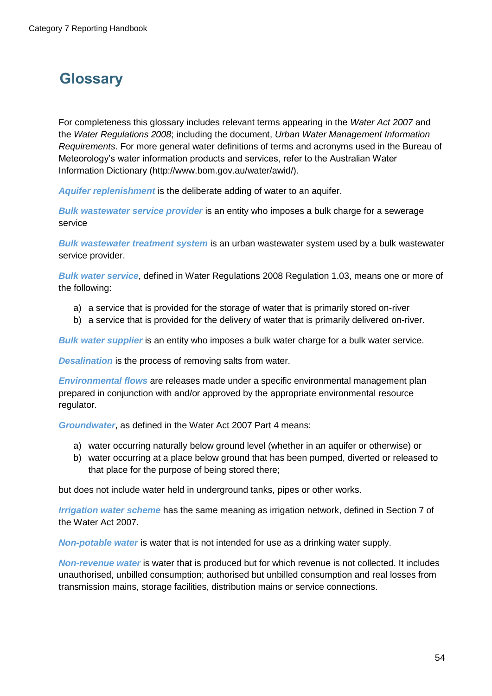# <span id="page-58-0"></span>**Glossary**

For completeness this glossary includes relevant terms appearing in the *Water Act 2007* and the *Water Regulations 2008*; including the document, *Urban Water Management Information Requirements*. For more general water definitions of terms and acronyms used in the Bureau of Meteorology's water information products and services, refer to the Australian Water Information Dictionary (http://www.bom.gov.au/water/awid/).

*Aquifer replenishment* is the deliberate adding of water to an aquifer.

*Bulk wastewater service provider* is an entity who imposes a bulk charge for a sewerage service

*Bulk wastewater treatment system* is an urban wastewater system used by a bulk wastewater service provider.

*Bulk water service*, defined in Water Regulations 2008 Regulation 1.03, means one or more of the following:

- a) a service that is provided for the storage of water that is primarily stored on-river
- b) a service that is provided for the delivery of water that is primarily delivered on-river.

*Bulk water supplier* is an entity who imposes a bulk water charge for a bulk water service.

*Desalination* is the process of removing salts from water.

*Environmental flows* are releases made under a specific environmental management plan prepared in conjunction with and/or approved by the appropriate environmental resource regulator.

*Groundwater*, as defined in the Water Act 2007 Part 4 means:

- a) water occurring naturally below ground level (whether in an aquifer or otherwise) or
- b) water occurring at a place below ground that has been pumped, diverted or released to that place for the purpose of being stored there;

but does not include water held in underground tanks, pipes or other works.

*Irrigation water scheme* has the same meaning as irrigation network, defined in Section 7 of the Water Act 2007.

*Non-potable water* is water that is not intended for use as a drinking water supply.

*Non-revenue water* is water that is produced but for which revenue is not collected. It includes unauthorised, unbilled consumption; authorised but unbilled consumption and real losses from transmission mains, storage facilities, distribution mains or service connections.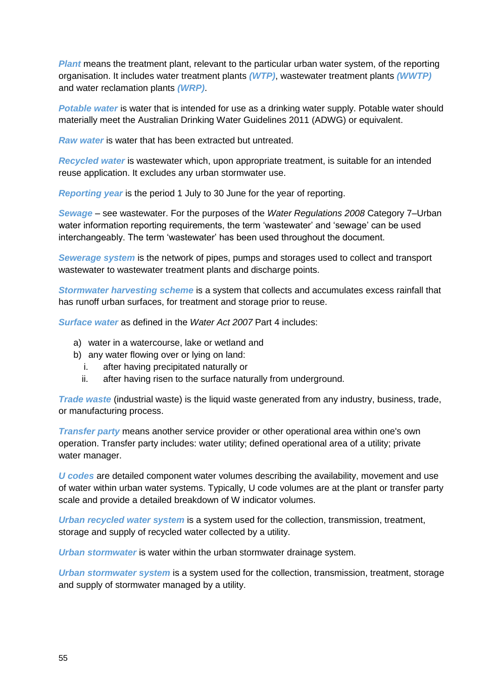**Plant** means the treatment plant, relevant to the particular urban water system, of the reporting organisation. It includes water treatment plants *(WTP)*, wastewater treatment plants *(WWTP)* and water reclamation plants *(WRP)*.

*Potable water* is water that is intended for use as a drinking water supply. Potable water should materially meet the Australian Drinking Water Guidelines 2011 (ADWG) or equivalent.

*Raw water* is water that has been extracted but untreated.

*Recycled water* is wastewater which, upon appropriate treatment, is suitable for an intended reuse application. It excludes any urban stormwater use.

*Reporting year* is the period 1 July to 30 June for the year of reporting.

*Sewage* – see wastewater. For the purposes of the *Water Regulations 2008* Category 7–Urban water information reporting requirements, the term 'wastewater' and 'sewage' can be used interchangeably. The term 'wastewater' has been used throughout the document.

*Sewerage system* is the network of pipes, pumps and storages used to collect and transport wastewater to wastewater treatment plants and discharge points.

*Stormwater harvesting scheme* is a system that collects and accumulates excess rainfall that has runoff urban surfaces, for treatment and storage prior to reuse.

*Surface water* as defined in the *Water Act 2007* Part 4 includes:

- a) water in a watercourse, lake or wetland and
- b) any water flowing over or lying on land:
	- i. after having precipitated naturally or
	- ii. after having risen to the surface naturally from underground.

*Trade waste* (industrial waste) is the liquid waste generated from any industry, business, trade, or manufacturing process.

*Transfer party* means another service provider or other operational area within one's own operation. Transfer party includes: water utility; defined operational area of a utility; private water manager.

*U codes* are detailed component water volumes describing the availability, movement and use of water within urban water systems. Typically, U code volumes are at the plant or transfer party scale and provide a detailed breakdown of W indicator volumes.

*Urban recycled water system* is a system used for the collection, transmission, treatment, storage and supply of recycled water collected by a utility.

*Urban stormwater* is water within the urban stormwater drainage system.

*Urban stormwater system* is a system used for the collection, transmission, treatment, storage and supply of stormwater managed by a utility.